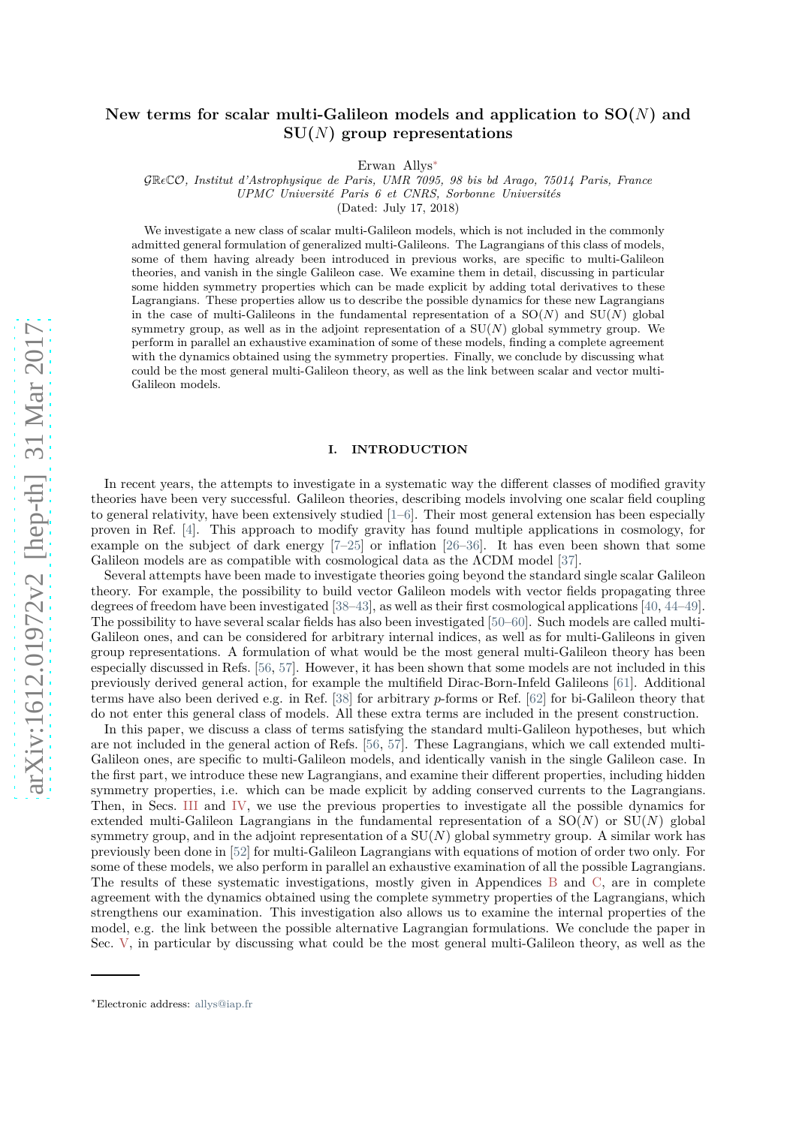## **New terms for scalar multi-Galileon models and application to SO(***N***) and SU(***N***) group representations**

Erwan Allys[∗](#page-0-0)

GR*ǫ*CO*, Institut d'Astrophysique de Paris, UMR 7095, 98 bis bd Arago, 75014 Paris, France*

*UPMC Université Paris 6 et CNRS, Sorbonne Universités*

(Dated: July 17, 2018)

We investigate a new class of scalar multi-Galileon models, which is not included in the commonly admitted general formulation of generalized multi-Galileons. The Lagrangians of this class of models, some of them having already been introduced in previous works, are specific to multi-Galileon theories, and vanish in the single Galileon case. We examine them in detail, discussing in particular some hidden symmetry properties which can be made explicit by adding total derivatives to these Lagrangians. These properties allow us to describe the possible dynamics for these new Lagrangians in the case of multi-Galileons in the fundamental representation of a  $SO(N)$  and  $SU(N)$  global symmetry group, as well as in the adjoint representation of a SU(*N*) global symmetry group. We perform in parallel an exhaustive examination of some of these models, finding a complete agreement with the dynamics obtained using the symmetry properties. Finally, we conclude by discussing what could be the most general multi-Galileon theory, as well as the link between scalar and vector multi-Galileon models.

## **I. INTRODUCTION**

In recent years, the attempts to investigate in a systematic way the different classes of modified gravity theories have been very successful. Galileon theories, describing models involving one scalar field coupling to general relativity, have been extensively studied [\[1](#page-16-0)[–6\]](#page-16-1). Their most general extension has been especially proven in Ref. [\[4\]](#page-16-2). This approach to modify gravity has found multiple applications in cosmology, for example on the subject of dark energy [\[7](#page-16-3)[–25\]](#page-16-4) or inflation [\[26](#page-16-5)[–36\]](#page-16-6). It has even been shown that some Galileon models are as compatible with cosmological data as the ΛCDM model [\[37\]](#page-16-7).

Several attempts have been made to investigate theories going beyond the standard single scalar Galileon theory. For example, the possibility to build vector Galileon models with vector fields propagating three degrees of freedom have been investigated [\[38](#page-16-8)[–43\]](#page-16-9), as well as their first cosmological applications [\[40,](#page-16-10) [44](#page-16-11)[–49\]](#page-17-0). The possibility to have several scalar fields has also been investigated [\[50](#page-17-1)[–60](#page-17-2)]. Such models are called multi-Galileon ones, and can be considered for arbitrary internal indices, as well as for multi-Galileons in given group representations. A formulation of what would be the most general multi-Galileon theory has been especially discussed in Refs. [\[56,](#page-17-3) [57\]](#page-17-4). However, it has been shown that some models are not included in this previously derived general action, for example the multifield Dirac-Born-Infeld Galileons [\[61](#page-17-5)]. Additional terms have also been derived e.g. in Ref. [\[38](#page-16-8)] for arbitrary *p*-forms or Ref. [\[62\]](#page-17-6) for bi-Galileon theory that do not enter this general class of models. All these extra terms are included in the present construction.

In this paper, we discuss a class of terms satisfying the standard multi-Galileon hypotheses, but which are not included in the general action of Refs. [\[56,](#page-17-3) [57\]](#page-17-4). These Lagrangians, which we call extended multi-Galileon ones, are specific to multi-Galileon models, and identically vanish in the single Galileon case. In the first part, we introduce these new Lagrangians, and examine their different properties, including hidden symmetry properties, i.e. which can be made explicit by adding conserved currents to the Lagrangians. Then, in Secs. [III](#page-5-0) and [IV,](#page-8-0) we use the previous properties to investigate all the possible dynamics for extended multi-Galileon Lagrangians in the fundamental representation of a  $SO(N)$  or  $SU(N)$  global symmetry group, and in the adjoint representation of a SU(*N*) global symmetry group. A similar work has previously been done in [\[52\]](#page-17-7) for multi-Galileon Lagrangians with equations of motion of order two only. For some of these models, we also perform in parallel an exhaustive examination of all the possible Lagrangians. The results of these systematic investigations, mostly given in Appendices [B](#page-12-0) and [C,](#page-13-0) are in complete agreement with the dynamics obtained using the complete symmetry properties of the Lagrangians, which strengthens our examination. This investigation also allows us to examine the internal properties of the model, e.g. the link between the possible alternative Lagrangian formulations. We conclude the paper in Sec. [V,](#page-9-0) in particular by discussing what could be the most general multi-Galileon theory, as well as the

<span id="page-0-0"></span><sup>∗</sup>Electronic address: [allys@iap.fr](mailto:allys@iap.fr)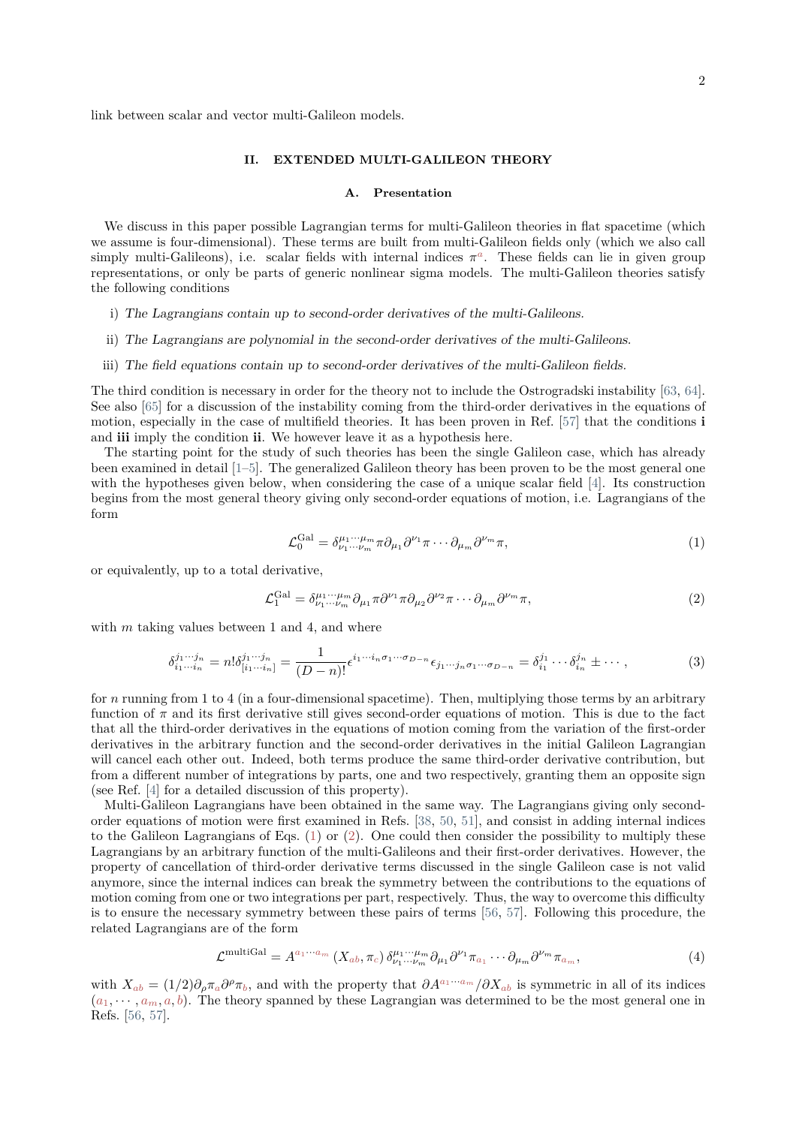link between scalar and vector multi-Galileon models.

## **II. EXTENDED MULTI-GALILEON THEORY**

#### **A. Presentation**

We discuss in this paper possible Lagrangian terms for multi-Galileon theories in flat spacetime (which we assume is four-dimensional). These terms are built from multi-Galileon fields only (which we also call simply multi-Galileons), i.e. scalar fields with internal indices  $\pi^a$ . These fields can lie in given group representations, or only be parts of generic nonlinear sigma models. The multi-Galileon theories satisfy the following conditions

- i) The Lagrangians contain up to second-order derivatives of the multi-Galileons.
- ii) The Lagrangians are polynomial in the second-order derivatives of the multi-Galileons.
- iii) The field equations contain up to second-order derivatives of the multi-Galileon fields.

The third condition is necessary in order for the theory not to include the Ostrogradski instability [\[63](#page-17-8), [64\]](#page-17-9). See also [\[65\]](#page-17-10) for a discussion of the instability coming from the third-order derivatives in the equations of motion, especially in the case of multifield theories. It has been proven in Ref. [\[57\]](#page-17-4) that the conditions **i** and **iii** imply the condition **ii**. We however leave it as a hypothesis here.

The starting point for the study of such theories has been the single Galileon case, which has already been examined in detail [\[1](#page-16-0)[–5\]](#page-16-12). The generalized Galileon theory has been proven to be the most general one with the hypotheses given below, when considering the case of a unique scalar field [\[4](#page-16-2)]. Its construction begins from the most general theory giving only second-order equations of motion, i.e. Lagrangians of the form

<span id="page-1-0"></span>
$$
\mathcal{L}_0^{\text{Gal}} = \delta^{\mu_1 \cdots \mu_m}_{\nu_1 \cdots \nu_m} \pi \partial_{\mu_1} \partial^{\nu_1} \pi \cdots \partial_{\mu_m} \partial^{\nu_m} \pi,
$$
\n(1)

or equivalently, up to a total derivative,

<span id="page-1-1"></span>
$$
\mathcal{L}_1^{\text{Gal}} = \delta_{\nu_1 \cdots \nu_m}^{\mu_1 \cdots \mu_m} \partial_{\mu_1} \pi \partial^{\nu_1} \pi \partial_{\mu_2} \partial^{\nu_2} \pi \cdots \partial_{\mu_m} \partial^{\nu_m} \pi,
$$
\n<sup>(2)</sup>

with *m* taking values between 1 and 4, and where

<span id="page-1-2"></span>
$$
\delta_{i_1\cdots i_n}^{j_1\cdots j_n} = n! \delta_{[i_1\cdots i_n]}^{j_1\cdots j_n} = \frac{1}{(D-n)!} \epsilon^{i_1\cdots i_n \sigma_1 \cdots \sigma_{D-n}} \epsilon_{j_1\cdots j_n \sigma_1 \cdots \sigma_{D-n}} = \delta_{i_1}^{j_1} \cdots \delta_{i_n}^{j_n} \pm \cdots,
$$
\n(3)

for *n* running from 1 to 4 (in a four-dimensional spacetime). Then, multiplying those terms by an arbitrary function of  $\pi$  and its first derivative still gives second-order equations of motion. This is due to the fact that all the third-order derivatives in the equations of motion coming from the variation of the first-order derivatives in the arbitrary function and the second-order derivatives in the initial Galileon Lagrangian will cancel each other out. Indeed, both terms produce the same third-order derivative contribution, but from a different number of integrations by parts, one and two respectively, granting them an opposite sign (see Ref. [\[4\]](#page-16-2) for a detailed discussion of this property).

Multi-Galileon Lagrangians have been obtained in the same way. The Lagrangians giving only secondorder equations of motion were first examined in Refs. [\[38,](#page-16-8) [50,](#page-17-1) [51\]](#page-17-11), and consist in adding internal indices to the Galileon Lagrangians of Eqs.  $(1)$  or  $(2)$ . One could then consider the possibility to multiply these Lagrangians by an arbitrary function of the multi-Galileons and their first-order derivatives. However, the property of cancellation of third-order derivative terms discussed in the single Galileon case is not valid anymore, since the internal indices can break the symmetry between the contributions to the equations of motion coming from one or two integrations per part, respectively. Thus, the way to overcome this difficulty is to ensure the necessary symmetry between these pairs of terms [\[56](#page-17-3), [57\]](#page-17-4). Following this procedure, the related Lagrangians are of the form

<span id="page-1-3"></span>
$$
\mathcal{L}^{\text{multiGal}} = A^{a_1 \cdots a_m} \left( X_{ab}, \pi_c \right) \delta^{\mu_1 \cdots \mu_m}_{\nu_1 \cdots \nu_m} \partial_{\mu_1} \partial^{\nu_1} \pi_{a_1} \cdots \partial_{\mu_m} \partial^{\nu_m} \pi_{a_m},\tag{4}
$$

with  $X_{ab} = (1/2)\partial_{\rho}\pi_a \partial^{\rho}\pi_b$ , and with the property that  $\partial A^{a_1 \cdots a_m}/\partial X_{ab}$  is symmetric in all of its indices  $(a_1, \dots, a_m, a, b)$ . The theory spanned by these Lagrangian was determined to be the most general one in Refs. [\[56,](#page-17-3) [57\]](#page-17-4).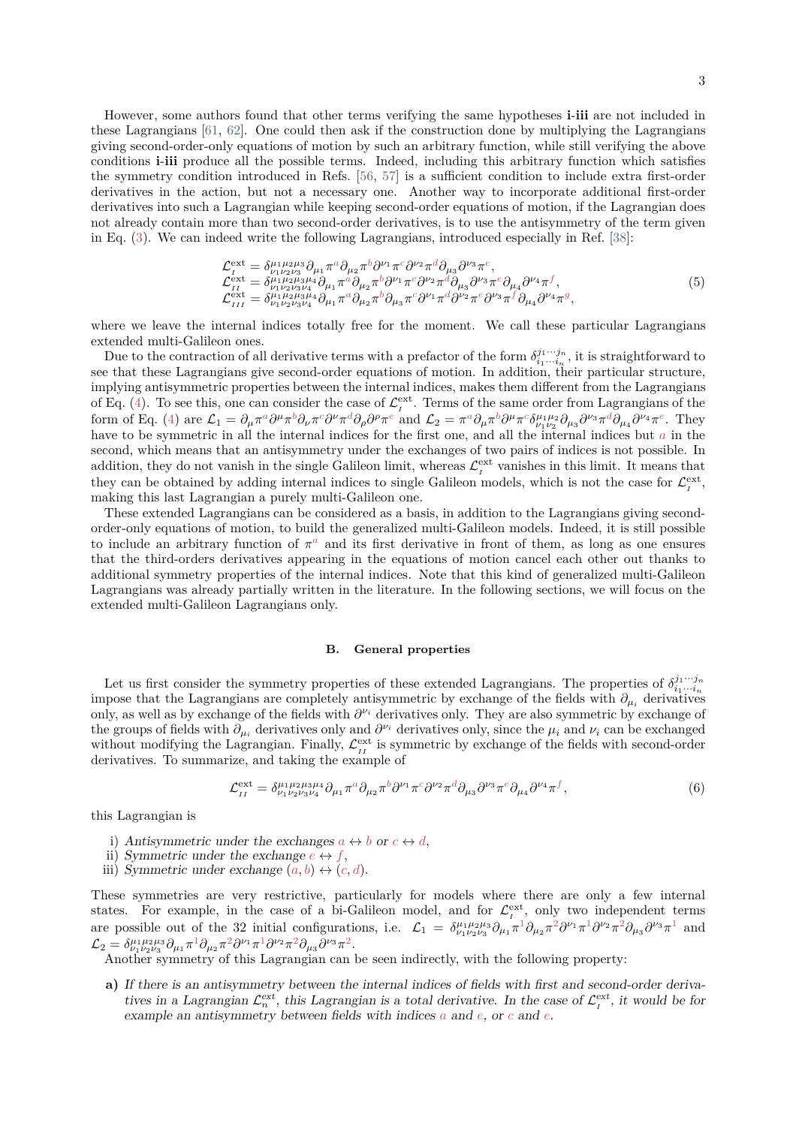However, some authors found that other terms verifying the same hypotheses **i**-**iii** are not included in these Lagrangians [\[61](#page-17-5), [62\]](#page-17-6). One could then ask if the construction done by multiplying the Lagrangians giving second-order-only equations of motion by such an arbitrary function, while still verifying the above conditions **i**-**iii** produce all the possible terms. Indeed, including this arbitrary function which satisfies the symmetry condition introduced in Refs. [\[56](#page-17-3), [57\]](#page-17-4) is a sufficient condition to include extra first-order derivatives in the action, but not a necessary one. Another way to incorporate additional first-order derivatives into such a Lagrangian while keeping second-order equations of motion, if the Lagrangian does not already contain more than two second-order derivatives, is to use the antisymmetry of the term given in Eq. [\(3\)](#page-1-2). We can indeed write the following Lagrangians, introduced especially in Ref. [\[38](#page-16-8)]:

<span id="page-2-0"></span>
$$
\mathcal{L}^{\text{ext}}_{I} = \delta^{\mu_1 \mu_2 \mu_3}_{\nu_1 \nu_2 \nu_3 \nu_4} \partial_{\mu_1} \pi^a \partial_{\mu_2} \pi^b \partial^{\nu_1} \pi^c \partial^{\nu_2} \pi^d \partial_{\mu_3} \partial^{\nu_3} \pi^e, \n\mathcal{L}^{\text{ext}}_{I} = \delta^{\mu_1 \mu_2 \mu_3 \mu_4}_{\nu_1 \nu_2 \nu_3 \nu_4} \partial_{\mu_1} \pi^a \partial_{\mu_2} \pi^b \partial^{\nu_1} \pi^c \partial^{\nu_2} \pi^d \partial_{\mu_3} \partial^{\nu_3} \pi^e \partial_{\mu_4} \partial^{\nu_4} \pi^f, \n\mathcal{L}^{\text{ext}}_{III} = \delta^{\mu_1 \mu_2 \mu_3 \mu_4}_{\nu_1 \nu_2 \nu_3 \nu_4} \partial_{\mu_1} \pi^a \partial_{\mu_2} \pi^b \partial_{\mu_3} \pi^c \partial^{\nu_1} \pi^d \partial^{\nu_2} \pi^e \partial^{\nu_3} \pi^f \partial_{\mu_4} \partial^{\nu_4} \pi^g,
$$
\n(5)

where we leave the internal indices totally free for the moment. We call these particular Lagrangians extended multi-Galileon ones.

Due to the contraction of all derivative terms with a prefactor of the form  $\delta_{i_1...i_n}^{j_1...j_n}$ , it is straightforward to see that these Lagrangians give second-order equations of motion. In addition, their particular structure, implying antisymmetric properties between the internal indices, makes them different from the Lagrangians of Eq. [\(4\)](#page-1-3). To see this, one can consider the case of  $\mathcal{L}^{\text{ext}}_{t}$ . Terms of the same order from Lagrangians of the form of Eq. [\(4\)](#page-1-3) are  $\mathcal{L}_1 = \partial_\mu \pi^a \partial^\mu \pi^b \partial_\nu \pi^c \partial^\nu \pi^d \partial_\rho \partial^\rho \pi^e$  and  $\mathcal{L}_2 = \pi^a \partial_\mu \pi^b \partial^\mu \pi^c \delta^{\mu_1 \mu_2}_{\nu_1 \nu_2} \partial_{\mu_3} \partial^{\nu_3} \pi^d \partial_{\mu_4} \partial^{\nu_4} \pi^e$ . They have to be symmetric in all the internal indices for the first one, and all the internal indices but *a* in the second, which means that an antisymmetry under the exchanges of two pairs of indices is not possible. In addition, they do not vanish in the single Galileon limit, whereas  $\mathcal{L}^{\text{ext}}_I$  vanishes in this limit. It means that they can be obtained by adding internal indices to single Galileon models, which is not the case for  $\mathcal{L}^{\text{ext}}_I$ , making this last Lagrangian a purely multi-Galileon one.

These extended Lagrangians can be considered as a basis, in addition to the Lagrangians giving secondorder-only equations of motion, to build the generalized multi-Galileon models. Indeed, it is still possible to include an arbitrary function of  $\pi^a$  and its first derivative in front of them, as long as one ensures that the third-orders derivatives appearing in the equations of motion cancel each other out thanks to additional symmetry properties of the internal indices. Note that this kind of generalized multi-Galileon Lagrangians was already partially written in the literature. In the following sections, we will focus on the extended multi-Galileon Lagrangians only.

### **B. General properties**

Let us first consider the symmetry properties of these extended Lagrangians. The properties of  $\delta_{i_1\cdots i_n}^{j_1\cdots j_n}$ impose that the Lagrangians are completely antisymmetric by exchange of the fields with  $\partial_{\mu_i}$  derivatives only, as well as by exchange of the fields with *∂ <sup>ν</sup><sup>i</sup>* derivatives only. They are also symmetric by exchange of the groups of fields with  $\partial_{\mu_i}$  derivatives only and  $\partial^{\nu_i}$  derivatives only, since the  $\mu_i$  and  $\nu_i$  can be exchanged without modifying the Lagrangian. Finally,  $\mathcal{L}_{II}^{\text{ext}}$  is symmetric by exchange of the fields with second-order derivatives. To summarize, and taking the example of

$$
\mathcal{L}_{II}^{\text{ext}} = \delta^{\mu_1 \mu_2 \mu_3 \mu_4}_{\nu_1 \nu_2 \nu_3 \nu_4} \partial_{\mu_1} \pi^a \partial_{\mu_2} \pi^b \partial^{\nu_1} \pi^c \partial^{\nu_2} \pi^d \partial_{\mu_3} \partial^{\nu_3} \pi^e \partial_{\mu_4} \partial^{\nu_4} \pi^f,
$$
\n
$$
(6)
$$

this Lagrangian is

- i) Antisymmetric under the exchanges  $a \leftrightarrow b$  or  $c \leftrightarrow d$ ,
- ii) Symmetric under the exchange  $e \leftrightarrow f$ ,
- iii) Symmetric under exchange  $(a, b) \leftrightarrow (c, d)$ .

These symmetries are very restrictive, particularly for models where there are only a few internal states. For example, in the case of a bi-Galileon model, and for  $\mathcal{L}^{\text{ext}}_{\tau}$ , only two independent terms are possible out of the 32 initial configurations, i.e.  $\mathcal{L}_1 = \delta^{\mu_1 \mu_2 \mu_3}_{\nu_1 \nu_2 \nu_3} \partial_{\mu_1} \pi^1 \partial_{\mu_2} \pi^2 \partial^{\nu_1} \pi^1 \partial^{\nu_2} \pi^2 \partial_{\mu_3} \partial^{\nu_3} \pi^1$  and  $\mathcal{L}_2 = \delta^{\mu_1 \mu_2 \mu_3}_{\nu_1 \nu_2 \nu_3} \partial_{\mu_1} \pi^1 \partial_{\mu_2} \pi^2 \partial^{\nu_1} \pi^1 \partial^{\nu_2} \pi^2 \partial_{\mu_3} \partial^{\nu_3} \pi^2.$ 

Another symmetry of this Lagrangian can be seen indirectly, with the following property:

**a)** If there is an antisymmetry between the internal indices of fields with first and second-order derivatives in a Lagrangian  $\mathcal{L}_n^{\text{ext}}$ , this Lagrangian is a total derivative. In the case of  $\mathcal{L}_I^{\text{ext}}$ , it would be for example an antisymmetry between fields with indices *a* and *e*, or *c* and *e*.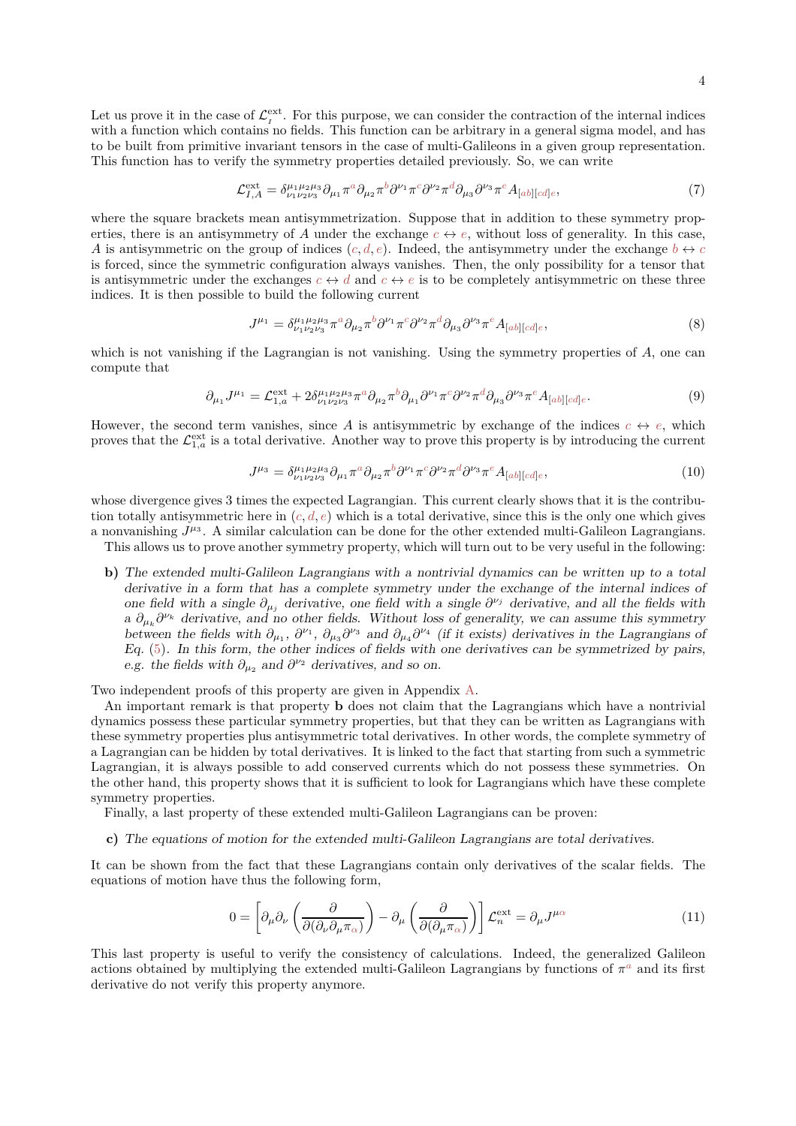Let us prove it in the case of  $\mathcal{L}^{\text{ext}}_I$ . For this purpose, we can consider the contraction of the internal indices with a function which contains no fields. This function can be arbitrary in a general sigma model, and has to be built from primitive invariant tensors in the case of multi-Galileons in a given group representation. This function has to verify the symmetry properties detailed previously. So, we can write

<span id="page-3-0"></span>
$$
\mathcal{L}_{I,A}^{\text{ext}} = \delta_{\nu_1 \nu_2 \nu_3}^{\mu_1 \mu_2 \mu_3} \partial_{\mu_1} \pi^a \partial_{\mu_2} \pi^b \partial^{\nu_1} \pi^c \partial^{\nu_2} \pi^d \partial_{\mu_3} \partial^{\nu_3} \pi^e A_{[ab][cd]e},\tag{7}
$$

where the square brackets mean antisymmetrization. Suppose that in addition to these symmetry properties, there is an antisymmetry of *A* under the exchange  $c \leftrightarrow e$ , without loss of generality. In this case, *A* is antisymmetric on the group of indices  $(c, d, e)$ . Indeed, the antisymmetry under the exchange  $b \leftrightarrow c$ is forced, since the symmetric configuration always vanishes. Then, the only possibility for a tensor that is antisymmetric under the exchanges  $c \leftrightarrow d$  and  $c \leftrightarrow e$  is to be completely antisymmetric on these three indices. It is then possible to build the following current

$$
J^{\mu_1} = \delta^{\mu_1 \mu_2 \mu_3}_{\nu_1 \nu_2 \nu_3} \pi^a \partial_{\mu_2} \pi^b \partial^{\nu_1} \pi^c \partial^{\nu_2} \pi^d \partial_{\mu_3} \partial^{\nu_3} \pi^e A_{[ab][cd]e}, \tag{8}
$$

which is not vanishing if the Lagrangian is not vanishing. Using the symmetry properties of *A*, one can compute that

$$
\partial_{\mu_1} J^{\mu_1} = \mathcal{L}_{1,a}^{\text{ext}} + 2 \delta_{\nu_1 \nu_2 \nu_3}^{\mu_1 \mu_2 \mu_3} \pi^a \partial_{\mu_2} \pi^b \partial_{\mu_1} \partial^{\nu_1} \pi^c \partial^{\nu_2} \pi^d \partial_{\mu_3} \partial^{\nu_3} \pi^e A_{[ab][cd]e}.
$$
\n
$$
(9)
$$

However, the second term vanishes, since A is antisymmetric by exchange of the indices  $c \leftrightarrow e$ , which proves that the  $\mathcal{L}_{1,a}^{\text{ext}}$  is a total derivative. Another way to prove this property is by introducing the current

$$
J^{\mu_3} = \delta^{\mu_1 \mu_2 \mu_3}_{\nu_1 \nu_2 \nu_3} \partial_{\mu_1} \pi^a \partial_{\mu_2} \pi^b \partial^{\nu_1} \pi^c \partial^{\nu_2} \pi^d \partial^{\nu_3} \pi^e A_{[ab][cd]e}, \tag{10}
$$

whose divergence gives 3 times the expected Lagrangian. This current clearly shows that it is the contribution totally antisymmetric here in  $(c, d, e)$  which is a total derivative, since this is the only one which gives a nonvanishing  $J^{\mu_3}$ . A similar calculation can be done for the other extended multi-Galileon Lagrangians.

This allows us to prove another symmetry property, which will turn out to be very useful in the following:

**b)** The extended multi-Galileon Lagrangians with a nontrivial dynamics can be written up to a total derivative in a form that has a complete symmetry under the exchange of the internal indices of one field with a single  $\partial_{\mu_j}$  derivative, one field with a single  $\partial^{\nu_j}$  derivative, and all the fields with a  $\partial_{\mu_k} \partial^{\nu_k}$  derivative, and no other fields. Without loss of generality, we can assume this symmetry between the fields with  $\partial_{\mu_1}$ ,  $\partial^{\nu_1}$ ,  $\partial_{\mu_3} \partial^{\nu_3}$  and  $\partial_{\mu_4} \partial^{\nu_4}$  (if it exists) derivatives in the Lagrangians of  $Eq. (5)$  $Eq. (5)$ . In this form, the other indices of fields with one derivatives can be symmetrized by pairs, e.g. the fields with  $\partial_{\mu_2}$  and  $\partial^{\nu_2}$  derivatives, and so on.

Two independent proofs of this property are given in Appendix [A.](#page-11-0)

An important remark is that property **b** does not claim that the Lagrangians which have a nontrivial dynamics possess these particular symmetry properties, but that they can be written as Lagrangians with these symmetry properties plus antisymmetric total derivatives. In other words, the complete symmetry of a Lagrangian can be hidden by total derivatives. It is linked to the fact that starting from such a symmetric Lagrangian, it is always possible to add conserved currents which do not possess these symmetries. On the other hand, this property shows that it is sufficient to look for Lagrangians which have these complete symmetry properties.

Finally, a last property of these extended multi-Galileon Lagrangians can be proven:

**c)** The equations of motion for the extended multi-Galileon Lagrangians are total derivatives.

It can be shown from the fact that these Lagrangians contain only derivatives of the scalar fields. The equations of motion have thus the following form,

$$
0 = \left[\partial_{\mu}\partial_{\nu}\left(\frac{\partial}{\partial(\partial_{\nu}\partial_{\mu}\pi_{\alpha})}\right) - \partial_{\mu}\left(\frac{\partial}{\partial(\partial_{\mu}\pi_{\alpha})}\right)\right] \mathcal{L}_{n}^{\text{ext}} = \partial_{\mu}J^{\mu\alpha}
$$
(11)

This last property is useful to verify the consistency of calculations. Indeed, the generalized Galileon actions obtained by multiplying the extended multi-Galileon Lagrangians by functions of  $\pi^a$  and its first derivative do not verify this property anymore.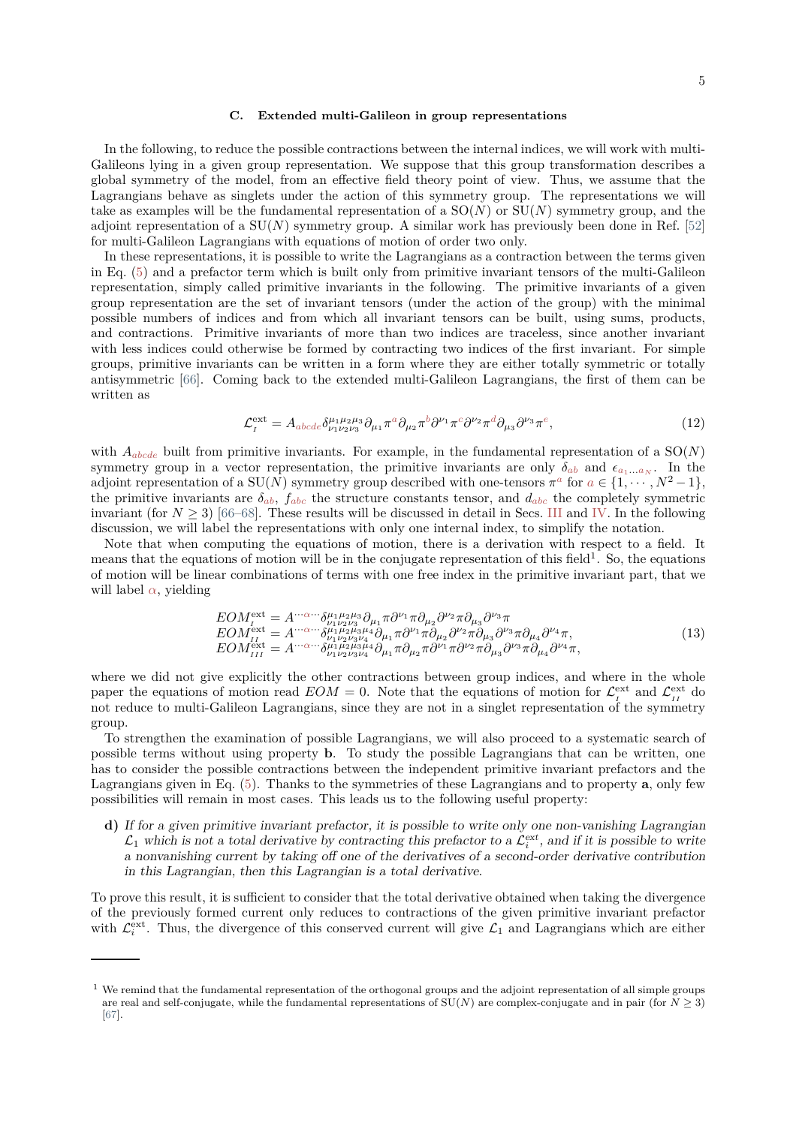#### **C. Extended multi-Galileon in group representations**

In the following, to reduce the possible contractions between the internal indices, we will work with multi-Galileons lying in a given group representation. We suppose that this group transformation describes a global symmetry of the model, from an effective field theory point of view. Thus, we assume that the Lagrangians behave as singlets under the action of this symmetry group. The representations we will take as examples will be the fundamental representation of a SO(*N*) or SU(*N*) symmetry group, and the adjoint representation of a  $SU(N)$  symmetry group. A similar work has previously been done in Ref. [\[52\]](#page-17-7) for multi-Galileon Lagrangians with equations of motion of order two only.

In these representations, it is possible to write the Lagrangians as a contraction between the terms given in Eq. [\(5\)](#page-2-0) and a prefactor term which is built only from primitive invariant tensors of the multi-Galileon representation, simply called primitive invariants in the following. The primitive invariants of a given group representation are the set of invariant tensors (under the action of the group) with the minimal possible numbers of indices and from which all invariant tensors can be built, using sums, products, and contractions. Primitive invariants of more than two indices are traceless, since another invariant with less indices could otherwise be formed by contracting two indices of the first invariant. For simple groups, primitive invariants can be written in a form where they are either totally symmetric or totally antisymmetric [\[66\]](#page-17-12). Coming back to the extended multi-Galileon Lagrangians, the first of them can be written as

$$
\mathcal{L}_I^{\text{ext}} = A_{abcde} \delta^{\mu_1 \mu_2 \mu_3}_{\nu_1 \nu_2 \nu_3} \partial_{\mu_1} \pi^a \partial_{\mu_2} \pi^b \partial^{\nu_1} \pi^c \partial^{\nu_2} \pi^d \partial_{\mu_3} \partial^{\nu_3} \pi^e,\tag{12}
$$

with  $A_{abcde}$  built from primitive invariants. For example, in the fundamental representation of a  $SO(N)$ symmetry group in a vector representation, the primitive invariants are only  $\delta_{ab}$  and  $\epsilon_{a_1...a_N}$ . In the adjoint representation of a  $SU(N)$  symmetry group described with one-tensors  $\pi^a$  for  $a \in \{1, \dots, N^2 - 1\}$ , the primitive invariants are  $\delta_{ab}$ ,  $f_{abc}$  the structure constants tensor, and  $d_{abc}$  the completely symmetric invariant (for  $N \geq 3$ ) [\[66](#page-17-12)[–68](#page-17-13)]. These results will be discussed in detail in Secs. [III](#page-5-0) and [IV.](#page-8-0) In the following discussion, we will label the representations with only one internal index, to simplify the notation.

Note that when computing the equations of motion, there is a derivation with respect to a field. It means that the equations of motion will be in the conjugate representation of this field<sup>1</sup>. So, the equations of motion will be linear combinations of terms with one free index in the primitive invariant part, that we will label  $\alpha$ , yielding

$$
EOM_{II}^{\text{ext}} = A^{\cdots\alpha\cdots} \delta^{\mu_1\mu_2\mu_3}_{\nu_1\nu_2\nu_3}\partial_{\mu_1}\pi \partial^{\nu_1}\pi \partial_{\mu_2}\partial^{\nu_2}\pi \partial_{\mu_3}\partial^{\nu_3}\pi \nEOM_{II}^{\text{ext}} = A^{\cdots\alpha\cdots} \delta^{\mu_1\mu_2\mu_3\mu_4}_{\nu_1\nu_2\nu_3\nu_4}\partial_{\mu_1}\pi \partial^{\nu_1}\pi \partial_{\mu_2}\partial^{\nu_2}\pi \partial_{\mu_3}\partial^{\nu_3}\pi \partial_{\mu_4}\partial^{\nu_4}\pi, \nEOM_{III}^{\text{ext}} = A^{\cdots\alpha\cdots} \delta^{\mu_1\mu_2\mu_3\mu_4}_{\nu_1\nu_2\nu_3\nu_4}\partial_{\mu_1}\pi \partial_{\mu_2}\pi \partial^{\nu_1}\pi \partial^{\nu_2}\pi \partial_{\mu_3}\partial^{\nu_3}\pi \partial_{\mu_4}\partial^{\nu_4}\pi,
$$
\n(13)

where we did not give explicitly the other contractions between group indices, and where in the whole paper the equations of motion read  $EOM = 0$ . Note that the equations of motion for  $\mathcal{L}^{\text{ext}}_{I}$  and  $\mathcal{L}^{\text{ext}}_{II}$  do not reduce to multi-Galileon Lagrangians, since they are not in a singlet representation of the symmetry group.

To strengthen the examination of possible Lagrangians, we will also proceed to a systematic search of possible terms without using property **b**. To study the possible Lagrangians that can be written, one has to consider the possible contractions between the independent primitive invariant prefactors and the Lagrangians given in Eq. [\(5\)](#page-2-0). Thanks to the symmetries of these Lagrangians and to property **a**, only few possibilities will remain in most cases. This leads us to the following useful property:

**d)** If for a given primitive invariant prefactor, it is possible to write only one non-vanishing Lagrangian  $\mathcal{L}_1$  which is not a total derivative by contracting this prefactor to a  $\mathcal{L}_i^{\text{ext}}$ , and if it is possible to write a nonvanishing current by taking off one of the derivatives of a second-order derivative contribution in this Lagrangian, then this Lagrangian is a total derivative.

To prove this result, it is sufficient to consider that the total derivative obtained when taking the divergence of the previously formed current only reduces to contractions of the given primitive invariant prefactor with  $\mathcal{L}^{\text{ext}}_i$ . Thus, the divergence of this conserved current will give  $\mathcal{L}_1$  and Lagrangians which are either

 $1$  We remind that the fundamental representation of the orthogonal groups and the adjoint representation of all simple groups are real and self-conjugate, while the fundamental representations of  $SU(N)$  are complex-conjugate and in pair (for  $N > 3$ ) [\[67](#page-17-14)].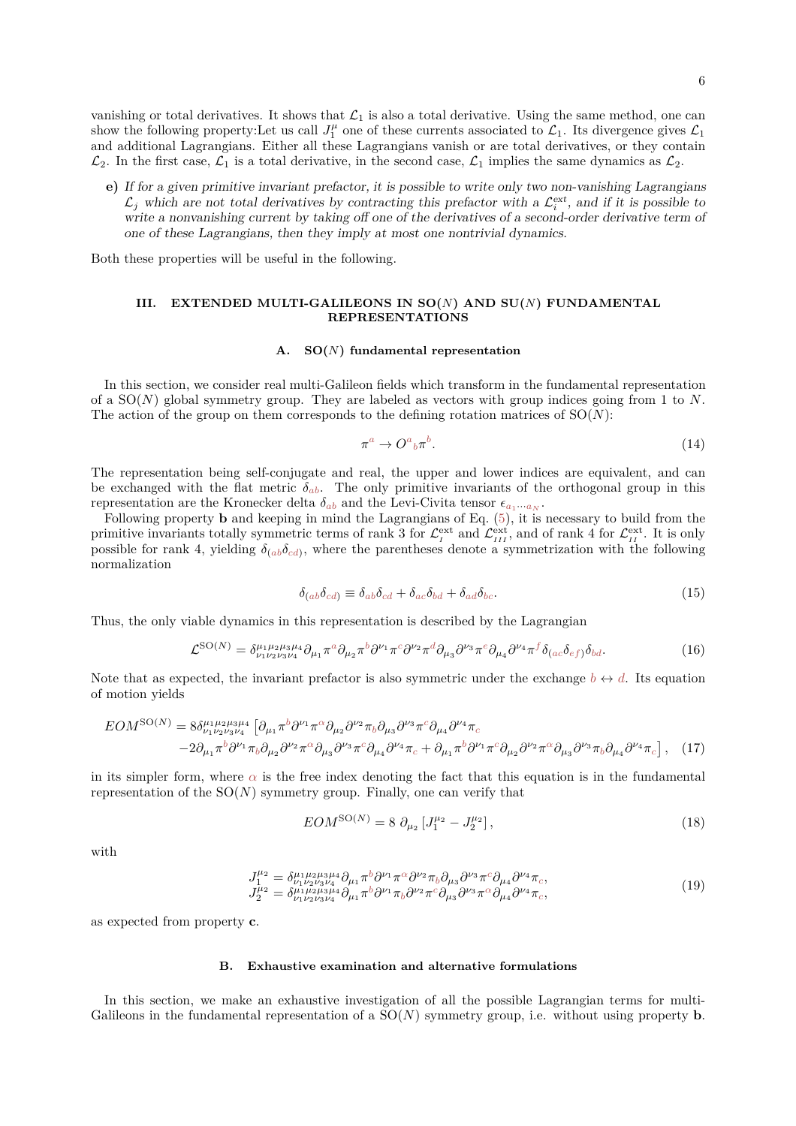vanishing or total derivatives. It shows that  $\mathcal{L}_1$  is also a total derivative. Using the same method, one can show the following property:Let us call  $J_1^{\mu}$  one of these currents associated to  $\mathcal{L}_1$ . Its divergence gives  $\mathcal{L}_1$ and additional Lagrangians. Either all these Lagrangians vanish or are total derivatives, or they contain  $\mathcal{L}_2$ . In the first case,  $\mathcal{L}_1$  is a total derivative, in the second case,  $\mathcal{L}_1$  implies the same dynamics as  $\mathcal{L}_2$ .

**e)** If for a given primitive invariant prefactor, it is possible to write only two non-vanishing Lagrangians  $\mathcal{L}_j$  which are not total derivatives by contracting this prefactor with a  $\mathcal{L}_i^{\text{ext}}$ , and if it is possible to write a nonvanishing current by taking off one of the derivatives of a second-order derivative term of one of these Lagrangians, then they imply at most one nontrivial dynamics.

Both these properties will be useful in the following.

## <span id="page-5-0"></span>**III. EXTENDED MULTI-GALILEONS IN SO(***N***) AND SU(***N***) FUNDAMENTAL REPRESENTATIONS**

## <span id="page-5-1"></span>**A. SO(***N***) fundamental representation**

In this section, we consider real multi-Galileon fields which transform in the fundamental representation of a SO(*N*) global symmetry group. They are labeled as vectors with group indices going from 1 to *N*. The action of the group on them corresponds to the defining rotation matrices of  $SO(N)$ :

$$
\pi^a \to O^a{}_b \pi^b. \tag{14}
$$

The representation being self-conjugate and real, the upper and lower indices are equivalent, and can be exchanged with the flat metric  $\delta_{ab}$ . The only primitive invariants of the orthogonal group in this representation are the Kronecker delta  $\delta_{ab}$  and the Levi-Civita tensor  $\epsilon_{a_1\cdots a_N}$ .

Following property **b** and keeping in mind the Lagrangians of Eq. [\(5\)](#page-2-0), it is necessary to build from the primitive invariants totally symmetric terms of rank 3 for  $\mathcal{L}^{\text{ext}}_{I}$  and  $\mathcal{L}^{\text{ext}}_{III}$ , and of rank 4 for  $\mathcal{L}^{\text{ext}}_{II}$ . It is only possible for rank 4, yielding  $\delta_{(ab}\delta_{cd)}$ , where the parentheses denote a symmetrization with the following normalization

<span id="page-5-4"></span>
$$
\delta_{(ab}\delta_{cd)} \equiv \delta_{ab}\delta_{cd} + \delta_{ac}\delta_{bd} + \delta_{ad}\delta_{bc}.\tag{15}
$$

Thus, the only viable dynamics in this representation is described by the Lagrangian

<span id="page-5-3"></span>
$$
\mathcal{L}^{\text{SO}(N)} = \delta^{\mu_1 \mu_2 \mu_3 \mu_4}_{\nu_1 \nu_2 \nu_3 \nu_4} \partial_{\mu_1} \pi^a \partial_{\mu_2} \pi^b \partial^{\nu_1} \pi^c \partial^{\nu_2} \pi^d \partial_{\mu_3} \partial^{\nu_3} \pi^e \partial_{\mu_4} \partial^{\nu_4} \pi^f \delta_{(ac} \delta_{ef)} \delta_{bd}.
$$
 (16)

Note that as expected, the invariant prefactor is also symmetric under the exchange  $b \leftrightarrow d$ . Its equation of motion yields

$$
EOM^{SO(N)} = 8\delta_{\nu_1\nu_2\nu_3\nu_4}^{\mu_1\mu_2\mu_3\mu_4} \left[ \partial_{\mu_1}\pi^b \partial^{\nu_1}\pi^\alpha \partial_{\mu_2}\partial^{\nu_2}\pi_b \partial_{\mu_3}\partial^{\nu_3}\pi^c \partial_{\mu_4}\partial^{\nu_4}\pi_c - 2\partial_{\mu_1}\pi^b \partial^{\nu_1}\pi_b \partial_{\mu_2}\partial^{\nu_2}\pi^\alpha \partial_{\mu_3}\partial^{\nu_3}\pi^c \partial_{\mu_4}\partial^{\nu_4}\pi_c + \partial_{\mu_1}\pi^b \partial^{\nu_1}\pi^c \partial_{\mu_2}\partial^{\nu_2}\pi^\alpha \partial_{\mu_3}\partial^{\nu_3}\pi_b \partial_{\mu_4}\partial^{\nu_4}\pi_c \right], \quad (17)
$$

in its simpler form, where  $\alpha$  is the free index denoting the fact that this equation is in the fundamental representation of the  $SO(N)$  symmetry group. Finally, one can verify that

<span id="page-5-2"></span>
$$
EOM^{\text{SO}(N)} = 8 \partial_{\mu_2} \left[ J_1^{\mu_2} - J_2^{\mu_2} \right],\tag{18}
$$

with

$$
J_1^{\mu_2} = \delta^{\mu_1 \mu_2 \mu_3 \mu_4}_{\nu_1 \nu_2 \nu_3 \nu_4} \partial_{\mu_1} \pi^b \partial^{\nu_1} \pi^\alpha \partial^{\nu_2} \pi_b \partial_{\mu_3} \partial^{\nu_3} \pi^\epsilon \partial_{\mu_4} \partial^{\nu_4} \pi_c,
$$
  
\n
$$
J_2^{\mu_2} = \delta^{\mu_1 \mu_2 \mu_3 \mu_4}_{\nu_1 \nu_2 \nu_3 \nu_4} \partial_{\mu_1} \pi^b \partial^{\nu_1} \pi_b \partial^{\nu_2} \pi^\epsilon \partial_{\mu_3} \partial^{\nu_3} \pi^\alpha \partial_{\mu_4} \partial^{\nu_4} \pi_c,
$$
\n(19)

as expected from property **c**.

#### **B. Exhaustive examination and alternative formulations**

In this section, we make an exhaustive investigation of all the possible Lagrangian terms for multi-Galileons in the fundamental representation of a  $SO(N)$  symmetry group, i.e. without using property **b**.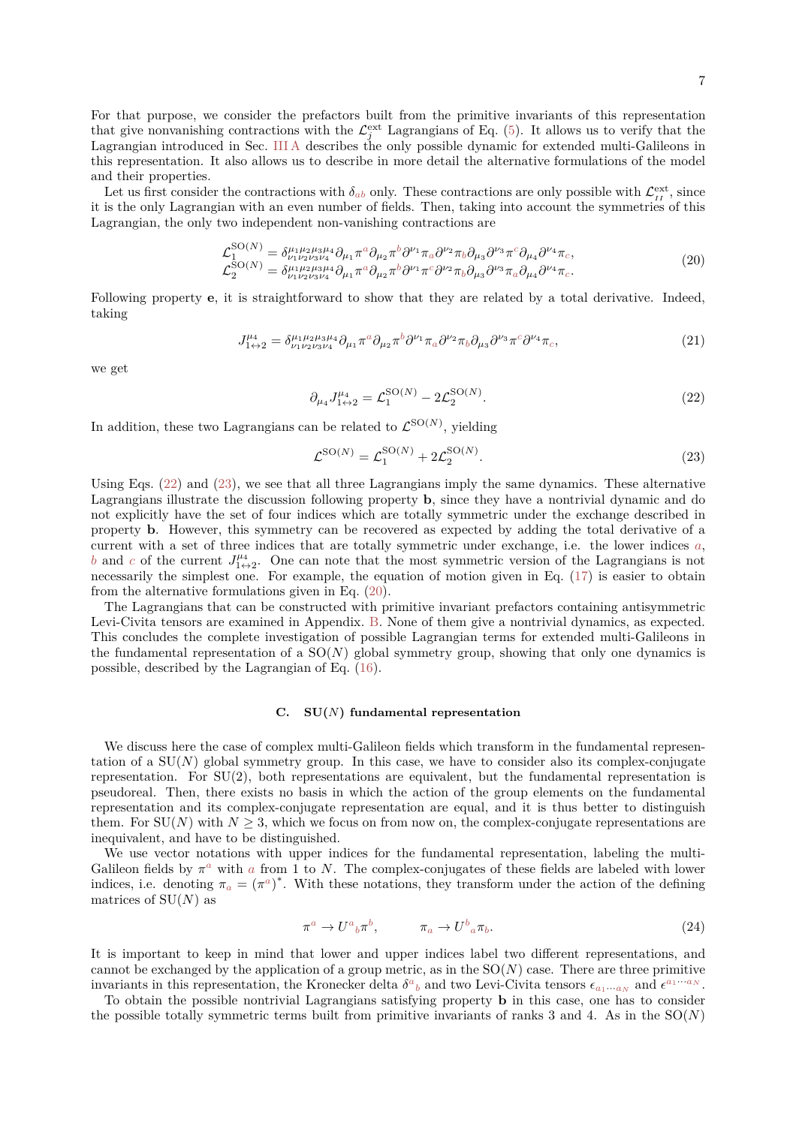For that purpose, we consider the prefactors built from the primitive invariants of this representation that give nonvanishing contractions with the  $\mathcal{L}^{\text{ext}}_j$  Lagrangians of Eq. [\(5\)](#page-2-0). It allows us to verify that the Lagrangian introduced in Sec. [III A](#page-5-1) describes the only possible dynamic for extended multi-Galileons in this representation. It also allows us to describe in more detail the alternative formulations of the model and their properties.

Let us first consider the contractions with  $\delta_{ab}$  only. These contractions are only possible with  $\mathcal{L}^{\text{ext}}_{II}$ , since it is the only Lagrangian with an even number of fields. Then, taking into account the symmetries of this Lagrangian, the only two independent non-vanishing contractions are

<span id="page-6-2"></span>
$$
\mathcal{L}_{1}^{\text{SO}(N)} = \delta^{\mu_{1}\mu_{2}\mu_{3}\mu_{4}}_{\nu_{1}\nu_{2}\nu_{3}\nu_{4}} \partial_{\mu_{1}} \pi^{a} \partial_{\mu_{2}} \pi^{b} \partial^{\nu_{1}} \pi_{a} \partial^{\nu_{2}} \pi_{b} \partial_{\mu_{3}} \partial^{\nu_{3}} \pi^{c} \partial_{\mu_{4}} \partial^{\nu_{4}} \pi_{c},
$$
\n
$$
\mathcal{L}_{2}^{\text{SO}(N)} = \delta^{\mu_{1}\mu_{2}\mu_{3}\mu_{4}}_{\nu_{1}\nu_{2}\nu_{3}\nu_{4}} \partial_{\mu_{1}} \pi^{a} \partial_{\mu_{2}} \pi^{b} \partial^{\nu_{1}} \pi^{c} \partial^{\nu_{2}} \pi_{b} \partial_{\mu_{3}} \partial^{\nu_{3}} \pi_{a} \partial_{\mu_{4}} \partial^{\nu_{4}} \pi_{c}.
$$
\n(20)

Following property **e**, it is straightforward to show that they are related by a total derivative. Indeed, taking

$$
J_{1\leftrightarrow 2}^{\mu_4} = \delta_{\nu_1 \nu_2 \nu_3 \nu_4}^{\mu_1 \mu_2 \mu_3 \mu_4} \partial_{\mu_1} \pi^a \partial_{\mu_2} \pi^b \partial^{\nu_1} \pi_a \partial^{\nu_2} \pi_b \partial_{\mu_3} \partial^{\nu_3} \pi^c \partial^{\nu_4} \pi_c,
$$
\n
$$
\tag{21}
$$

we get

<span id="page-6-0"></span>
$$
\partial_{\mu_4} J_{1 \leftrightarrow 2}^{\mu_4} = \mathcal{L}_1^{\text{SO}(N)} - 2\mathcal{L}_2^{\text{SO}(N)}.\tag{22}
$$

In addition, these two Lagrangians can be related to  $\mathcal{L}^{\text{SO}(N)}$ , yielding

<span id="page-6-1"></span>
$$
\mathcal{L}^{\text{SO}(N)} = \mathcal{L}_1^{\text{SO}(N)} + 2\mathcal{L}_2^{\text{SO}(N)}.
$$
 (23)

Using Eqs. [\(22\)](#page-6-0) and [\(23\)](#page-6-1), we see that all three Lagrangians imply the same dynamics. These alternative Lagrangians illustrate the discussion following property **b**, since they have a nontrivial dynamic and do not explicitly have the set of four indices which are totally symmetric under the exchange described in property **b**. However, this symmetry can be recovered as expected by adding the total derivative of a current with a set of three indices that are totally symmetric under exchange, i.e. the lower indices *a*, *b* and *c* of the current  $J_{1\leftrightarrow 2}^{\mu_4}$ . One can note that the most symmetric version of the Lagrangians is not necessarily the simplest one. For example, the equation of motion given in Eq. [\(17\)](#page-5-2) is easier to obtain from the alternative formulations given in Eq. [\(20\)](#page-6-2).

The Lagrangians that can be constructed with primitive invariant prefactors containing antisymmetric Levi-Civita tensors are examined in Appendix. [B.](#page-12-0) None of them give a nontrivial dynamics, as expected. This concludes the complete investigation of possible Lagrangian terms for extended multi-Galileons in the fundamental representation of a  $SO(N)$  global symmetry group, showing that only one dynamics is possible, described by the Lagrangian of Eq. [\(16\)](#page-5-3).

## **C. SU(***N***) fundamental representation**

We discuss here the case of complex multi-Galileon fields which transform in the fundamental representation of a  $SU(N)$  global symmetry group. In this case, we have to consider also its complex-conjugate representation. For  $SU(2)$ , both representations are equivalent, but the fundamental representation is pseudoreal. Then, there exists no basis in which the action of the group elements on the fundamental representation and its complex-conjugate representation are equal, and it is thus better to distinguish them. For  $SU(N)$  with  $N \geq 3$ , which we focus on from now on, the complex-conjugate representations are inequivalent, and have to be distinguished.

We use vector notations with upper indices for the fundamental representation, labeling the multi-Galileon fields by  $\pi^a$  with *a* from 1 to *N*. The complex-conjugates of these fields are labeled with lower indices, i.e. denoting  $\pi_a = (\pi^a)^*$ . With these notations, they transform under the action of the defining matrices of  $SU(N)$  as

$$
\pi^a \to U^a{}_b \pi^b, \qquad \pi_a \to U^b{}_a \pi_b. \tag{24}
$$

It is important to keep in mind that lower and upper indices label two different representations, and cannot be exchanged by the application of a group metric, as in the  $SO(N)$  case. There are three primitive invariants in this representation, the Kronecker delta  $\delta^a{}_b$  and two Levi-Civita tensors  $\epsilon_{a_1\cdots a_N}$  and  $\epsilon^{a_1\cdots a_N}$ .

To obtain the possible nontrivial Lagrangians satisfying property **b** in this case, one has to consider the possible totally symmetric terms built from primitive invariants of ranks 3 and 4. As in the  $SO(N)$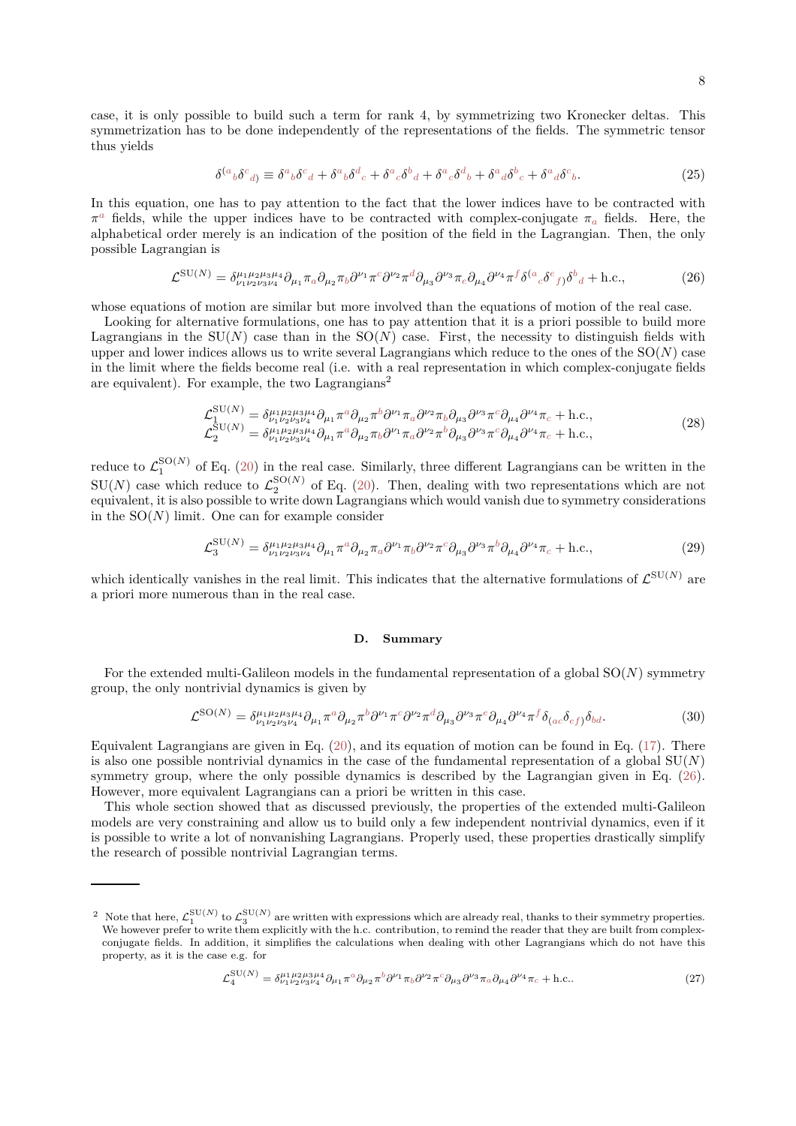case, it is only possible to build such a term for rank 4, by symmetrizing two Kronecker deltas. This symmetrization has to be done independently of the representations of the fields. The symmetric tensor thus yields

$$
\delta^{(a}{}_{b}\delta^{c}{}_{d)} \equiv \delta^{a}{}_{b}\delta^{c}{}_{d} + \delta^{a}{}_{b}\delta^{d}{}_{c} + \delta^{a}{}_{c}\delta^{b}{}_{d} + \delta^{a}{}_{c}\delta^{d}{}_{b} + \delta^{a}{}_{d}\delta^{b}{}_{c} + \delta^{a}{}_{d}\delta^{c}{}_{b}.
$$
\n(25)

In this equation, one has to pay attention to the fact that the lower indices have to be contracted with  $\pi^a$  fields, while the upper indices have to be contracted with complex-conjugate  $\pi_a$  fields. Here, the alphabetical order merely is an indication of the position of the field in the Lagrangian. Then, the only possible Lagrangian is

<span id="page-7-0"></span>
$$
\mathcal{L}^{\text{SU}(N)} = \delta^{\mu_1 \mu_2 \mu_3 \mu_4}_{\nu_1 \nu_2 \nu_3 \nu_4} \partial_{\mu_1} \pi_a \partial_{\mu_2} \pi_b \partial^{\nu_1} \pi^c \partial^{\nu_2} \pi^d \partial_{\mu_3} \partial^{\nu_3} \pi_e \partial_{\mu_4} \partial^{\nu_4} \pi^f \delta^{(a}{}_{c} \delta^{e}{}_{f)} \delta^{b}{}_{d} + \text{h.c.},\tag{26}
$$

whose equations of motion are similar but more involved than the equations of motion of the real case.

Looking for alternative formulations, one has to pay attention that it is a priori possible to build more Lagrangians in the  $SU(N)$  case than in the  $SO(N)$  case. First, the necessity to distinguish fields with upper and lower indices allows us to write several Lagrangians which reduce to the ones of the SO(*N*) case in the limit where the fields become real (i.e. with a real representation in which complex-conjugate fields are equivalent). For example, the two Lagrangians<sup>2</sup>

$$
\mathcal{L}_{1}^{\text{SU}(N)} = \delta_{\nu_{1}\nu_{2}\nu_{3}\nu_{4}}^{\mu_{1}\mu_{2}\mu_{3}\mu_{4}} \partial_{\mu_{1}} \pi^{a} \partial_{\mu_{2}} \pi^{b} \partial^{\nu_{1}} \pi_{a} \partial^{\nu_{2}} \pi_{b} \partial_{\mu_{3}} \partial^{\nu_{3}} \pi^{c} \partial_{\mu_{4}} \partial^{\nu_{4}} \pi_{c} + \text{h.c.},
$$
\n
$$
\mathcal{L}_{2}^{\text{SU}(N)} = \delta_{\nu_{1}\nu_{2}\nu_{3}\nu_{4}}^{\mu_{1}\mu_{2}\mu_{3}\mu_{4}} \partial_{\mu_{1}} \pi^{a} \partial_{\mu_{2}} \pi_{b} \partial^{\nu_{1}} \pi_{a} \partial^{\nu_{2}} \pi^{b} \partial_{\mu_{3}} \partial^{\nu_{3}} \pi^{c} \partial_{\mu_{4}} \partial^{\nu_{4}} \pi_{c} + \text{h.c.},
$$
\n(28)

reduce to  $\mathcal{L}_1^{\text{SO}(N)}$  of Eq. [\(20\)](#page-6-2) in the real case. Similarly, three different Lagrangians can be written in the  $SU(N)$  case which reduce to  $\mathcal{L}_2^{SO(N)}$  of Eq. [\(20\)](#page-6-2). Then, dealing with two representations which are not equivalent, it is also possible to write down Lagrangians which would vanish due to symmetry considerations in the  $SO(N)$  limit. One can for example consider

$$
\mathcal{L}_3^{\text{SU}(N)} = \delta^{\mu_1 \mu_2 \mu_3 \mu_4}_{\nu_1 \nu_2 \nu_3 \nu_4} \partial_{\mu_1} \pi^a \partial_{\mu_2} \pi_a \partial^{\nu_1} \pi_b \partial^{\nu_2} \pi^c \partial_{\mu_3} \partial^{\nu_3} \pi^b \partial_{\mu_4} \partial^{\nu_4} \pi_c + \text{h.c.},\tag{29}
$$

which identically vanishes in the real limit. This indicates that the alternative formulations of  $\mathcal{L}^{\text{SU}(N)}$  are a priori more numerous than in the real case.

#### **D. Summary**

For the extended multi-Galileon models in the fundamental representation of a global SO(*N*) symmetry group, the only nontrivial dynamics is given by

<span id="page-7-1"></span>
$$
\mathcal{L}^{\text{SO}(N)} = \delta^{\mu_1 \mu_2 \mu_3 \mu_4}_{\nu_1 \nu_2 \nu_3 \nu_4} \partial_{\mu_1} \pi^a \partial_{\mu_2} \pi^b \partial^{\nu_1} \pi^c \partial^{\nu_2} \pi^d \partial_{\mu_3} \partial^{\nu_3} \pi^e \partial_{\mu_4} \partial^{\nu_4} \pi^f \delta_{(ac} \delta_{ef)} \delta_{bd}.
$$
 (30)

Equivalent Lagrangians are given in Eq. [\(20\)](#page-6-2), and its equation of motion can be found in Eq. [\(17\)](#page-5-2). There is also one possible nontrivial dynamics in the case of the fundamental representation of a global  $SU(N)$ symmetry group, where the only possible dynamics is described by the Lagrangian given in Eq. [\(26\)](#page-7-0). However, more equivalent Lagrangians can a priori be written in this case.

This whole section showed that as discussed previously, the properties of the extended multi-Galileon models are very constraining and allow us to build only a few independent nontrivial dynamics, even if it is possible to write a lot of nonvanishing Lagrangians. Properly used, these properties drastically simplify the research of possible nontrivial Lagrangian terms.

$$
\mathcal{L}_4^{\text{SU}(N)} = \delta^{\mu_1 \mu_2 \mu_3 \mu_4}_{\nu_1 \nu_2 \nu_3 \nu_4} \partial_{\mu_1} \pi^a \partial_{\mu_2} \pi^b \partial^{\nu_1} \pi_b \partial^{\nu_2} \pi^c \partial_{\mu_3} \partial^{\nu_3} \pi_a \partial_{\mu_4} \partial^{\nu_4} \pi_c + \text{h.c.}.
$$
 (27)

<sup>&</sup>lt;sup>2</sup> Note that here,  $\mathcal{L}_1^{\text{SU}(N)}$  to  $\mathcal{L}_3^{\text{SU}(N)}$  are written with expressions which are already real, thanks to their symmetry properties. We however prefer to write them explicitly with the h.c. contribution, to remind the reader that they are built from complexconjugate fields. In addition, it simplifies the calculations when dealing with other Lagrangians which do not have this property, as it is the case e.g. for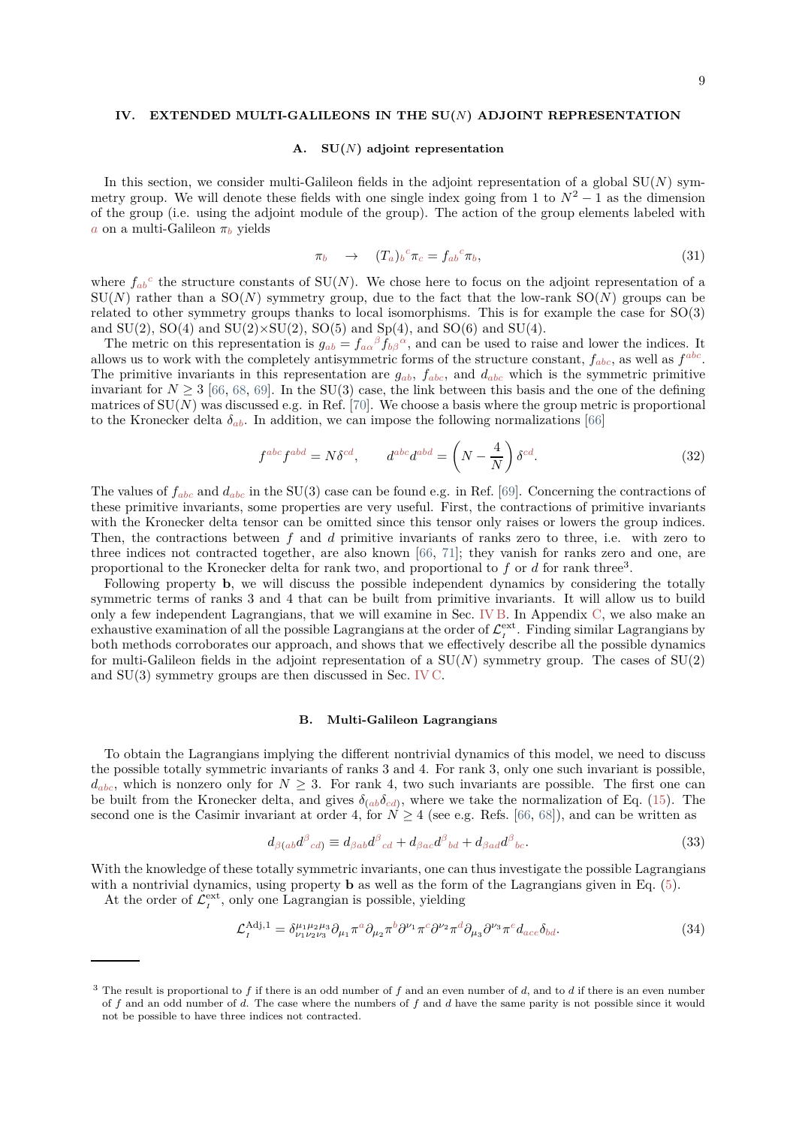#### <span id="page-8-0"></span>**IV. EXTENDED MULTI-GALILEONS IN THE SU(***N***) ADJOINT REPRESENTATION**

#### <span id="page-8-2"></span>**A. SU(***N***) adjoint representation**

In this section, we consider multi-Galileon fields in the adjoint representation of a global  $SU(N)$  symmetry group. We will denote these fields with one single index going from 1 to  $N^2 - 1$  as the dimension of the group (i.e. using the adjoint module of the group). The action of the group elements labeled with *a* on a multi-Galileon *π<sup>b</sup>* yields

$$
\pi_b \quad \to \quad (T_a)_b^{\ c} \pi_c = f_{ab}^{\ c} \pi_b,\tag{31}
$$

where  $f_{ab}^c$  the structure constants of  $SU(N)$ . We chose here to focus on the adjoint representation of a  $SU(N)$  rather than a  $SO(N)$  symmetry group, due to the fact that the low-rank  $SO(N)$  groups can be related to other symmetry groups thanks to local isomorphisms. This is for example the case for SO(3) and  $SU(2)$ ,  $SO(4)$  and  $SU(2)\times SU(2)$ ,  $SO(5)$  and  $Sp(4)$ , and  $SO(6)$  and  $SU(4)$ .

The metric on this representation is  $g_{ab} = f_{a\alpha}{}^{\beta} f_{b\beta}{}^{\alpha}$ , and can be used to raise and lower the indices. It allows us to work with the completely antisymmetric forms of the structure constant,  $f_{abc}$ , as well as  $f^{abc}$ . The primitive invariants in this representation are  $g_{ab}$ ,  $f_{abc}$ , and  $d_{abc}$  which is the symmetric primitive invariant for  $N \geq 3$  [\[66](#page-17-12), [68,](#page-17-13) [69\]](#page-17-15). In the SU(3) case, the link between this basis and the one of the defining matrices of  $SU(N)$  was discussed e.g. in Ref. [\[70\]](#page-17-16). We choose a basis where the group metric is proportional to the Kronecker delta  $\delta_{ab}$ . In addition, we can impose the following normalizations [\[66\]](#page-17-12)

$$
f^{abc} f^{abd} = N \delta^{cd}, \qquad d^{abc} d^{abd} = \left( N - \frac{4}{N} \right) \delta^{cd}.
$$
 (32)

The values of *fabc* and *dabc* in the SU(3) case can be found e.g. in Ref. [\[69\]](#page-17-15). Concerning the contractions of these primitive invariants, some properties are very useful. First, the contractions of primitive invariants with the Kronecker delta tensor can be omitted since this tensor only raises or lowers the group indices. Then, the contractions between *f* and *d* primitive invariants of ranks zero to three, i.e. with zero to three indices not contracted together, are also known [\[66,](#page-17-12) [71](#page-17-17)]; they vanish for ranks zero and one, are proportional to the Kronecker delta for rank two, and proportional to f or d for rank three<sup>3</sup>.

Following property **b**, we will discuss the possible independent dynamics by considering the totally symmetric terms of ranks 3 and 4 that can be built from primitive invariants. It will allow us to build only a few independent Lagrangians, that we will examine in Sec. [IV B.](#page-8-1) In Appendix [C,](#page-13-0) we also make an exhaustive examination of all the possible Lagrangians at the order of  $\mathcal{L}^{\text{ext}}_{I}$ . Finding similar Lagrangians by both methods corroborates our approach, and shows that we effectively describe all the possible dynamics for multi-Galileon fields in the adjoint representation of a  $SU(N)$  symmetry group. The cases of  $SU(2)$ and SU(3) symmetry groups are then discussed in Sec. [IV C.](#page-9-1)

#### <span id="page-8-1"></span>**B. Multi-Galileon Lagrangians**

To obtain the Lagrangians implying the different nontrivial dynamics of this model, we need to discuss the possible totally symmetric invariants of ranks 3 and 4. For rank 3, only one such invariant is possible,  $d_{abc}$ , which is nonzero only for  $N \geq 3$ . For rank 4, two such invariants are possible. The first one can be built from the Kronecker delta, and gives  $\delta_{(ab}\delta_{cd)}$ , where we take the normalization of Eq. [\(15\)](#page-5-4). The second one is the Casimir invariant at order 4, for  $N > 4$  (see e.g. Refs. [\[66,](#page-17-12) [68\]](#page-17-13)), and can be written as

$$
d_{\beta(ab}d^{\beta}{}_{cd}) \equiv d_{\beta ab}d^{\beta}{}_{cd} + d_{\beta ac}d^{\beta}{}_{bd} + d_{\beta ad}d^{\beta}{}_{bc}.
$$
\n(33)

With the knowledge of these totally symmetric invariants, one can thus investigate the possible Lagrangians with a nontrivial dynamics, using property **b** as well as the form of the Lagrangians given in Eq. [\(5\)](#page-2-0).

At the order of  $\mathcal{L}_I^{\text{ext}}$ , only one Lagrangian is possible, yielding

$$
\mathcal{L}_I^{\text{Adj},1} = \delta^{\mu_1 \mu_2 \mu_3}_{\nu_1 \nu_2 \nu_3} \partial_{\mu_1} \pi^a \partial_{\mu_2} \pi^b \partial^{\nu_1} \pi^c \partial^{\nu_2} \pi^d \partial_{\mu_3} \partial^{\nu_3} \pi^e d_{ace} \delta_{bd}.
$$
 (34)

<sup>3</sup> The result is proportional to *f* if there is an odd number of *f* and an even number of *d*, and to *d* if there is an even number of *f* and an odd number of *d*. The case where the numbers of *f* and *d* have the same parity is not possible since it would not be possible to have three indices not contracted.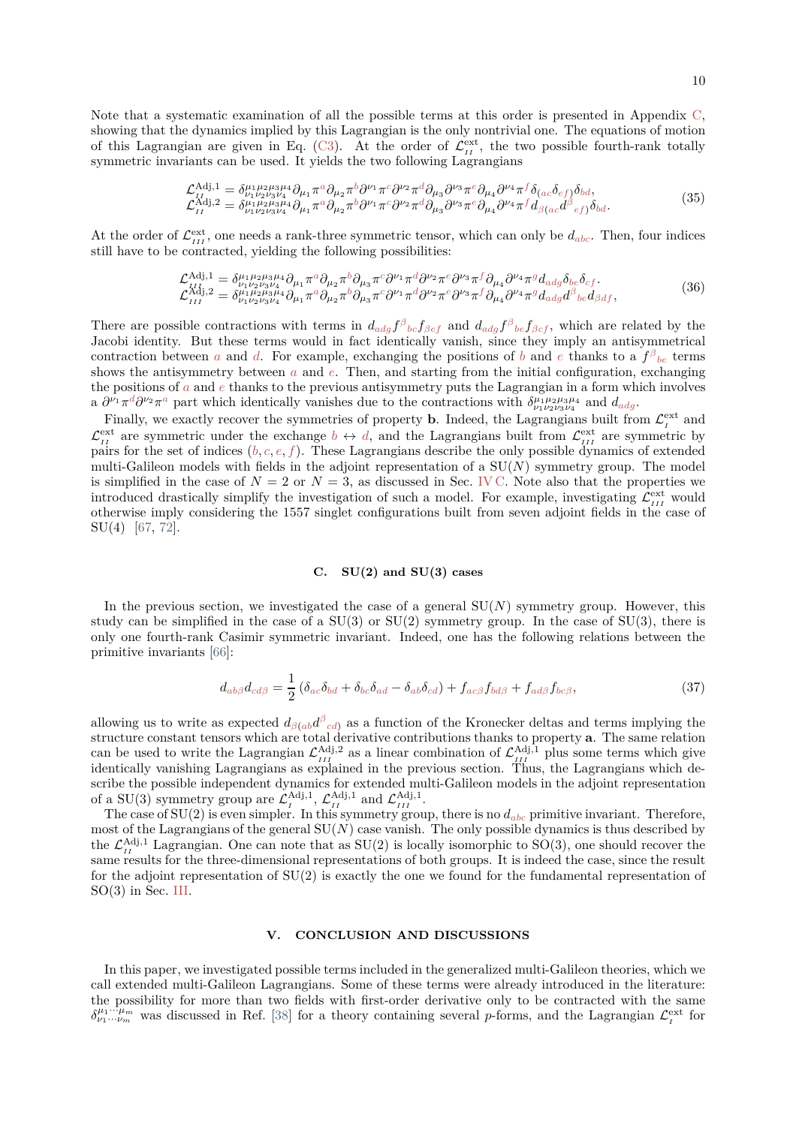Note that a systematic examination of all the possible terms at this order is presented in Appendix [C,](#page-13-0) showing that the dynamics implied by this Lagrangian is the only nontrivial one. The equations of motion of this Lagrangian are given in Eq. [\(C3\)](#page-14-0). At the order of  $\mathcal{L}_{II}^{\text{ext}}$ , the two possible fourth-rank totally symmetric invariants can be used. It yields the two following Lagrangians

$$
\mathcal{L}_{II}^{\text{Adj},1} = \delta^{\mu_1 \mu_2 \mu_3 \mu_4}_{\nu_1 \nu_2 \nu_3 \nu_4} \partial_{\mu_1} \pi^a \partial_{\mu_2} \pi^b \partial^{\nu_1} \pi^c \partial^{\nu_2} \pi^d \partial_{\mu_3} \partial^{\nu_3} \pi^e \partial_{\mu_4} \partial^{\nu_4} \pi^f \delta_{(ac} \delta_{ef)} \delta_{bd}, \n\mathcal{L}_{II}^{\text{Adj},2} = \delta^{\mu_1 \mu_2 \mu_3 \mu_4}_{\mu_1 \nu_2 \nu_3 \nu_4} \partial_{\mu_1} \pi^a \partial_{\mu_2} \pi^b \partial^{\nu_1} \pi^c \partial^{\nu_2} \pi^d \partial_{\mu_3} \partial^{\nu_3} \pi^e \partial_{\mu_4} \partial^{\nu_4} \pi^f d_{\beta(ac} d^{\beta}_{ef)} \delta_{bd}.
$$
\n(35)

At the order of  $\mathcal{L}_{III}^{\text{ext}}$ , one needs a rank-three symmetric tensor, which can only be  $d_{abc}$ . Then, four indices still have to be contracted, yielding the following possibilities:

$$
\mathcal{L}^{\text{Adj},1}_{III} = \delta^{\mu_1 \mu_2 \mu_3 \mu_4}_{\nu_1 \nu_2 \nu_3 \nu_4} \partial_{\mu_1} \pi^a \partial_{\mu_2} \pi^b \partial_{\mu_3} \pi^c \partial^{\nu_1} \pi^d \partial^{\nu_2} \pi^e \partial^{\nu_3} \pi^f \partial_{\mu_4} \partial^{\nu_4} \pi^g d_{\text{adg}} \delta_{\text{be}} \delta_{cf}.
$$
\n
$$
\mathcal{L}^{\text{Adj},2}_{III} = \delta^{\mu_1 \mu_2 \mu_3 \mu_4}_{\nu_1 \nu_2 \nu_3 \nu_4} \partial_{\mu_1} \pi^a \partial_{\mu_2} \pi^b \partial_{\mu_3} \pi^c \partial^{\nu_1} \pi^d \partial^{\nu_2} \pi^e \partial^{\nu_3} \pi^f \partial_{\mu_4} \partial^{\nu_4} \pi^g d_{\text{adg}} \partial^{\beta}{}_{\text{be}} d_{\beta df},
$$
\n(36)

There are possible contractions with terms in  $d_{adg} f^{\beta}{}_{bc} f_{\beta ef}$  and  $d_{adg} f^{\beta}{}_{be} f_{\beta cf}$ , which are related by the Jacobi identity. But these terms would in fact identically vanish, since they imply an antisymmetrical contraction between *a* and *d*. For example, exchanging the positions of *b* and *e* thanks to a  $f^{\beta}{}_{be}$  terms shows the antisymmetry between *a* and *e*. Then, and starting from the initial configuration, exchanging the positions of *a* and *e* thanks to the previous antisymmetry puts the Lagrangian in a form which involves a  $\partial^{\nu_1} \pi^d \partial^{\nu_2} \pi^a$  part which identically vanishes due to the contractions with  $\delta^{\mu_1 \mu_2 \mu_3 \mu_4}_{\nu_1 \nu_2 \nu_3 \nu_4}$  and  $d_{adg}$ .

Finally, we exactly recover the symmetries of property **b**. Indeed, the Lagrangians built from  $\mathcal{L}^{\text{ext}}_{I}$  and  $\mathcal{L}_{II}^{\text{ext}}$  are symmetric under the exchange  $b \leftrightarrow d$ , and the Lagrangians built from  $\mathcal{L}_{III}^{\text{ext}}$  are symmetric by pairs for the set of indices  $(b, c, e, f)$ . These Lagrangians describe the only possible dynamics of extended multi-Galileon models with fields in the adjoint representation of a  $SU(N)$  symmetry group. The model is simplified in the case of  $N = 2$  or  $N = 3$ , as discussed in Sec. [IV C.](#page-9-1) Note also that the properties we introduced drastically simplify the investigation of such a model. For example, investigating  $\mathcal{L}^{\text{ext}}_{III}$  would otherwise imply considering the 1557 singlet configurations built from seven adjoint fields in the case of SU(4) [\[67](#page-17-14), [72](#page-17-18)].

#### <span id="page-9-1"></span>**C. SU(2) and SU(3) cases**

In the previous section, we investigated the case of a general  $SU(N)$  symmetry group. However, this study can be simplified in the case of a  $SU(3)$  or  $SU(2)$  symmetry group. In the case of  $SU(3)$ , there is only one fourth-rank Casimir symmetric invariant. Indeed, one has the following relations between the primitive invariants [\[66](#page-17-12)]:

$$
d_{ab\beta}d_{cd\beta} = \frac{1}{2} \left( \delta_{ac}\delta_{bd} + \delta_{bc}\delta_{ad} - \delta_{ab}\delta_{cd} \right) + f_{ac\beta}f_{bd\beta} + f_{ad\beta}f_{bc\beta},\tag{37}
$$

allowing us to write as expected  $d_{\beta(ab}d^{\beta}{}_{cd)}$  as a function of the Kronecker deltas and terms implying the structure constant tensors which are total derivative contributions thanks to property **a**. The same relation can be used to write the Lagrangian  $\mathcal{L}_{III}^{\text{Adj},2}$  as a linear combination of  $\mathcal{L}_{III}^{\text{Adj},1}$  plus some terms which give identically vanishing Lagrangians as explained in the previous section. Thus, the Lagrangians which describe the possible independent dynamics for extended multi-Galileon models in the adjoint representation of a SU(3) symmetry group are  $\mathcal{L}_I^{\text{Adj},1}$ ,  $\mathcal{L}_{II}^{\text{Adj},1}$  and  $\mathcal{L}_{III}^{\text{Adj},1}$ .

The case of  $SU(2)$  is even simpler. In this symmetry group, there is no  $d_{abc}$  primitive invariant. Therefore, most of the Lagrangians of the general  $SU(N)$  case vanish. The only possible dynamics is thus described by the  $\mathcal{L}_{II}^{\text{Adj},1}$  Lagrangian. One can note that as SU(2) is locally isomorphic to SO(3), one should recover the same results for the three-dimensional representations of both groups. It is indeed the case, since the result for the adjoint representation of  $SU(2)$  is exactly the one we found for the fundamental representation of SO(3) in Sec. [III.](#page-5-0)

## <span id="page-9-0"></span>**V. CONCLUSION AND DISCUSSIONS**

In this paper, we investigated possible terms included in the generalized multi-Galileon theories, which we call extended multi-Galileon Lagrangians. Some of these terms were already introduced in the literature: the possibility for more than two fields with first-order derivative only to be contracted with the same  $\delta^{\mu_1 \cdots \mu_m}_{\nu_1 \cdots \nu_m}$  was discussed in Ref. [\[38\]](#page-16-8) for a theory containing several *p*-forms, and the Lagrangian  $\mathcal{L}^{\text{ext}}_{I}$  for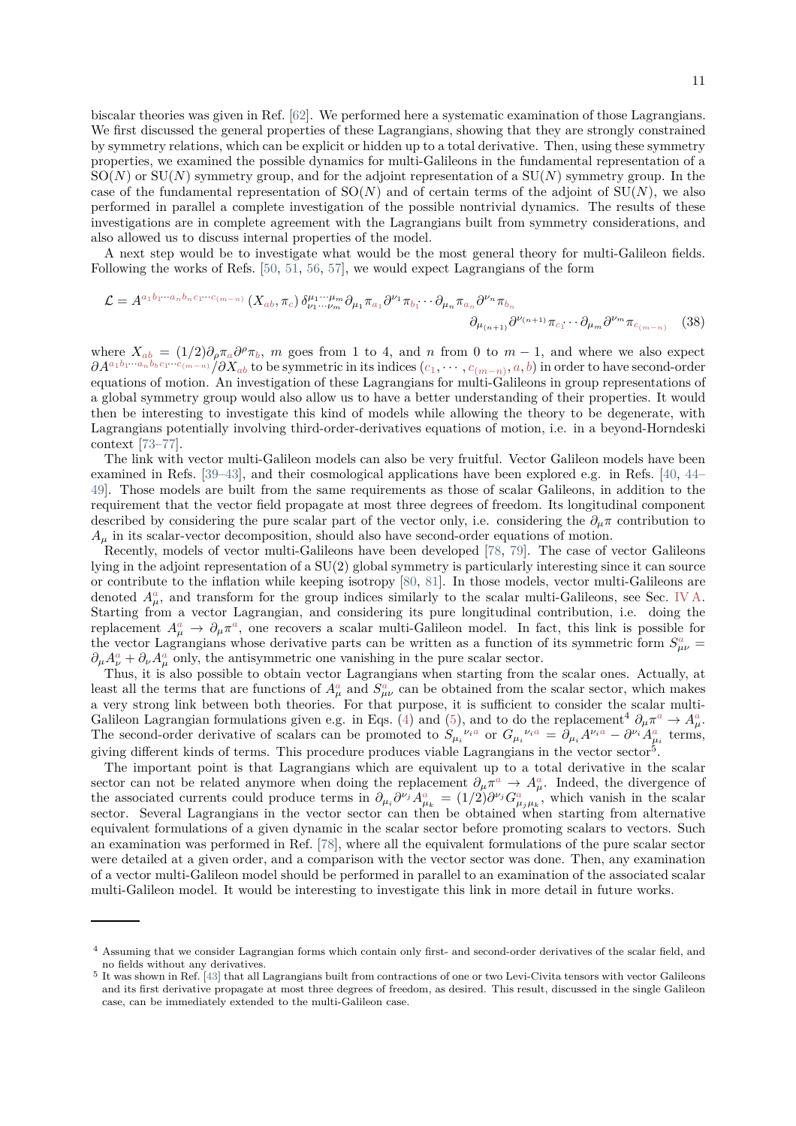biscalar theories was given in Ref. [\[62\]](#page-17-6). We performed here a systematic examination of those Lagrangians. We first discussed the general properties of these Lagrangians, showing that they are strongly constrained by symmetry relations, which can be explicit or hidden up to a total derivative. Then, using these symmetry properties, we examined the possible dynamics for multi-Galileons in the fundamental representation of a SO(*N*) or SU(*N*) symmetry group, and for the adjoint representation of a SU(*N*) symmetry group. In the case of the fundamental representation of  $SO(N)$  and of certain terms of the adjoint of  $SU(N)$ , we also performed in parallel a complete investigation of the possible nontrivial dynamics. The results of these investigations are in complete agreement with the Lagrangians built from symmetry considerations, and also allowed us to discuss internal properties of the model.

A next step would be to investigate what would be the most general theory for multi-Galileon fields. Following the works of Refs. [\[50](#page-17-1), [51](#page-17-11), [56](#page-17-3), [57](#page-17-4)], we would expect Lagrangians of the form

$$
\mathcal{L} = A^{a_1 b_1 \cdots a_n b_n c_1 \cdots c_{(m-n)}} \left( X_{ab}, \pi_c \right) \delta^{\mu_1 \cdots \mu_m}_{\nu_1 \cdots \nu_m} \partial_{\mu_1} \pi_{a_1} \partial^{\nu_1} \pi_{b_1} \cdots \partial_{\mu_n} \pi_{a_n} \partial^{\nu_n} \pi_{b_n}
$$
\n
$$
\partial_{\mu_{(n+1)}} \partial^{\nu_{(n+1)}} \pi_{c_1} \cdots \partial_{\mu_m} \partial^{\nu_m} \pi_{c_{(m-n)}} \quad (38)
$$

where  $X_{ab} = (1/2)\partial_{\rho}\pi_{a}\partial^{\rho}\pi_{b}$ , *m* goes from 1 to 4, and *n* from 0 to  $m-1$ , and where we also expect  $\partial A^{a_1b_1\cdot\cdot\cdot\cdot a_n\overline{b}_bc_1\cdot\cdot\cdot\overline{c}_{(m-n)}}/\partial X_{ab}$  to be symmetric in its indices  $(c_1,\cdots,c_{(m-n)},a,b)$  in order to have second-order equations of motion. An investigation of these Lagrangians for multi-Galileons in group representations of a global symmetry group would also allow us to have a better understanding of their properties. It would then be interesting to investigate this kind of models while allowing the theory to be degenerate, with Lagrangians potentially involving third-order-derivatives equations of motion, i.e. in a beyond-Horndeski context [\[73](#page-17-19)[–77](#page-17-20)].

The link with vector multi-Galileon models can also be very fruitful. Vector Galileon models have been examined in Refs. [\[39](#page-16-13)[–43](#page-16-9)], and their cosmological applications have been explored e.g. in Refs. [\[40,](#page-16-10) [44](#page-16-11)– [49](#page-17-0)]. Those models are built from the same requirements as those of scalar Galileons, in addition to the requirement that the vector field propagate at most three degrees of freedom. Its longitudinal component described by considering the pure scalar part of the vector only, i.e. considering the  $\partial_{\mu}\pi$  contribution to  $A_\mu$  in its scalar-vector decomposition, should also have second-order equations of motion.

Recently, models of vector multi-Galileons have been developed [\[78,](#page-17-21) [79](#page-17-22)]. The case of vector Galileons lying in the adjoint representation of a SU(2) global symmetry is particularly interesting since it can source or contribute to the inflation while keeping isotropy [\[80,](#page-17-23) [81\]](#page-17-24). In those models, vector multi-Galileons are denoted  $A^a_\mu$ , and transform for the group indices similarly to the scalar multi-Galileons, see Sec. [IV A.](#page-8-2) Starting from a vector Lagrangian, and considering its pure longitudinal contribution, i.e. doing the replacement  $A^a_\mu \to \partial_\mu \pi^a$ , one recovers a scalar multi-Galileon model. In fact, this link is possible for the vector Lagrangians whose derivative parts can be written as a function of its symmetric form  $S^a_{\mu\nu}$  =  $\partial_{\mu}A_{\nu}^{a} + \partial_{\nu}A_{\mu}^{a}$  only, the antisymmetric one vanishing in the pure scalar sector.

Thus, it is also possible to obtain vector Lagrangians when starting from the scalar ones. Actually, at least all the terms that are functions of  $A^a_\mu$  and  $S^a_{\mu\nu}$  can be obtained from the scalar sector, which makes a very strong link between both theories. For that purpose, it is sufficient to consider the scalar multi-Galileon Lagrangian formulations given e.g. in Eqs. [\(4\)](#page-1-3) and [\(5\)](#page-2-0), and to do the replacement<sup>4</sup>  $\partial_{\mu}\pi^a \to A^a_{\mu}$ . The second-order derivative of scalars can be promoted to  $S_{\mu_i}^{\nu_i a}$  or  $G_{\mu_i}^{\nu_i a} = \partial_{\mu_i} A^{\nu_i a} - \partial^{\nu_i} A^a_{\mu_i}$  terms, giving different kinds of terms. This procedure produces viable Lagrangians in the vector sector<sup>5</sup>.

The important point is that Lagrangians which are equivalent up to a total derivative in the scalar sector can not be related anymore when doing the replacement  $\partial_{\mu}\pi^a \to A^a_{\mu}$ . Indeed, the divergence of the associated currents could produce terms in  $\partial_{\mu_i} \partial^{\nu_j} A^a_{\mu_k} = (1/2) \partial^{\nu_j} G^a_{\mu_j \mu_k}$ , which vanish in the scalar sector. Several Lagrangians in the vector sector can then be obtained when starting from alternative equivalent formulations of a given dynamic in the scalar sector before promoting scalars to vectors. Such an examination was performed in Ref. [\[78\]](#page-17-21), where all the equivalent formulations of the pure scalar sector were detailed at a given order, and a comparison with the vector sector was done. Then, any examination of a vector multi-Galileon model should be performed in parallel to an examination of the associated scalar multi-Galileon model. It would be interesting to investigate this link in more detail in future works.

<sup>4</sup> Assuming that we consider Lagrangian forms which contain only first- and second-order derivatives of the scalar field, and no fields without any derivatives.

<sup>&</sup>lt;sup>5</sup> It was shown in Ref. [\[43\]](#page-16-9) that all Lagrangians built from contractions of one or two Levi-Civita tensors with vector Galileons and its first derivative propagate at most three degrees of freedom, as desired. This result, discussed in the single Galileon case, can be immediately extended to the multi-Galileon case.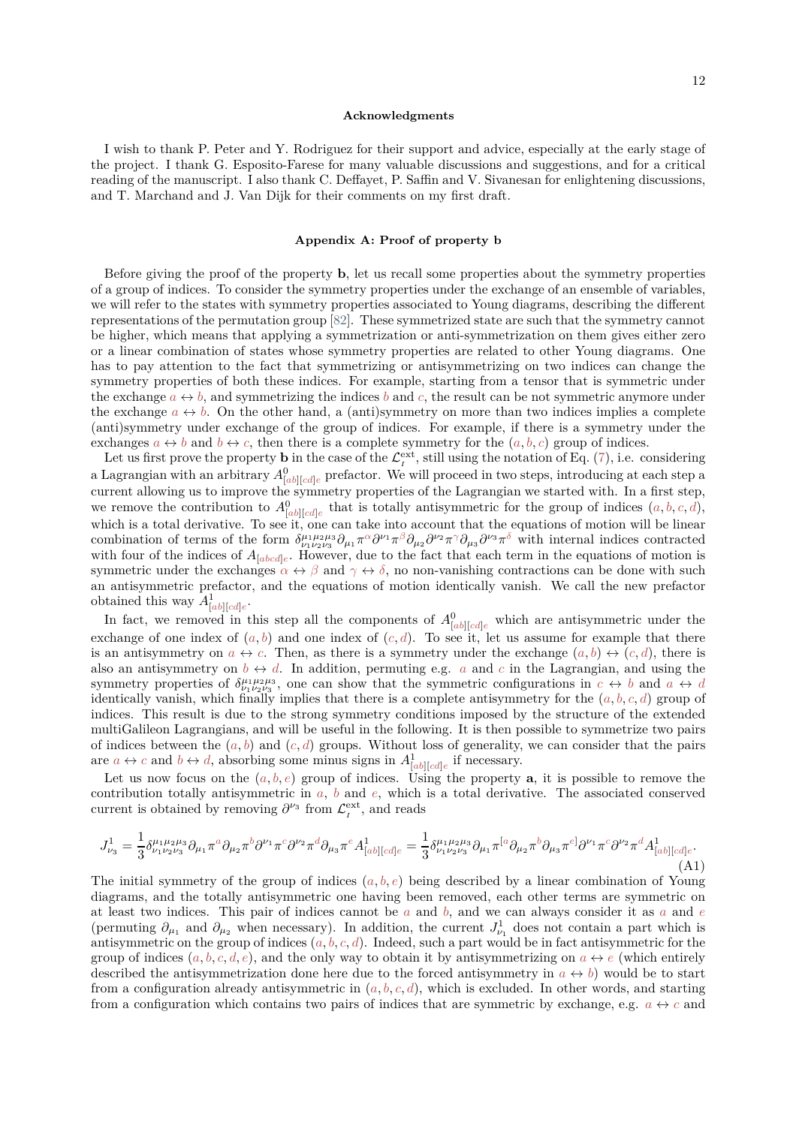#### **Acknowledgments**

I wish to thank P. Peter and Y. Rodriguez for their support and advice, especially at the early stage of the project. I thank G. Esposito-Farese for many valuable discussions and suggestions, and for a critical reading of the manuscript. I also thank C. Deffayet, P. Saffin and V. Sivanesan for enlightening discussions, and T. Marchand and J. Van Dijk for their comments on my first draft.

## <span id="page-11-0"></span>**Appendix A: Proof of property b**

Before giving the proof of the property **b**, let us recall some properties about the symmetry properties of a group of indices. To consider the symmetry properties under the exchange of an ensemble of variables, we will refer to the states with symmetry properties associated to Young diagrams, describing the different representations of the permutation group [\[82](#page-17-25)]. These symmetrized state are such that the symmetry cannot be higher, which means that applying a symmetrization or anti-symmetrization on them gives either zero or a linear combination of states whose symmetry properties are related to other Young diagrams. One has to pay attention to the fact that symmetrizing or antisymmetrizing on two indices can change the symmetry properties of both these indices. For example, starting from a tensor that is symmetric under the exchange  $a \leftrightarrow b$ , and symmetrizing the indices b and c, the result can be not symmetric anymore under the exchange  $a \leftrightarrow b$ . On the other hand, a (anti)symmetry on more than two indices implies a complete (anti)symmetry under exchange of the group of indices. For example, if there is a symmetry under the exchanges  $a \leftrightarrow b$  and  $b \leftrightarrow c$ , then there is a complete symmetry for the  $(a, b, c)$  group of indices.

Let us first prove the property **b** in the case of the  $\mathcal{L}^{\text{ext}}_I$ , still using the notation of Eq. [\(7\)](#page-3-0), i.e. considering a Lagrangian with an arbitrary  $A^0_{[ab][cd]e}$  prefactor. We will proceed in two steps, introducing at each step a current allowing us to improve the symmetry properties of the Lagrangian we started with. In a first step, we remove the contribution to  $A_{[ab][cd]e}^0$  that is totally antisymmetric for the group of indices  $(a, b, c, d)$ , which is a total derivative. To see it, one can take into account that the equations of motion will be linear combination of terms of the form  $\delta^{\mu_1\mu_2\mu_3}_{\nu_1\nu_2\nu_3}\partial_{\mu_1}\pi^{\alpha}\partial^{\nu_1}\pi^{\beta}\partial_{\mu_2}\partial^{\nu_2}\pi^{\gamma}\partial_{\mu_3}\partial^{\nu_3}\pi^{\delta}$  with internal indices contracted with four of the indices of  $A_{[abcd]e}$ . However, due to the fact that each term in the equations of motion is symmetric under the exchanges  $\alpha \leftrightarrow \beta$  and  $\gamma \leftrightarrow \delta$ , no non-vanishing contractions can be done with such an antisymmetric prefactor, and the equations of motion identically vanish. We call the new prefactor obtained this way  $A^1_{[ab][cd]e}$ .

In fact, we removed in this step all the components of  $A_{[ab][cd]e}^0$  which are antisymmetric under the exchange of one index of  $(a, b)$  and one index of  $(c, d)$ . To see it, let us assume for example that there is an antisymmetry on  $a \leftrightarrow c$ . Then, as there is a symmetry under the exchange  $(a, b) \leftrightarrow (c, d)$ , there is also an antisymmetry on  $b \leftrightarrow d$ . In addition, permuting e.g. *a* and *c* in the Lagrangian, and using the symmetry properties of  $\delta^{\mu_1 \mu_2 \mu_3}_{\nu_1 \nu_2 \nu_3}$ , one can show that the symmetric configurations in  $c \leftrightarrow b$  and  $a \leftrightarrow d$ identically vanish, which finally implies that there is a complete antisymmetry for the  $(a, b, c, d)$  group of indices. This result is due to the strong symmetry conditions imposed by the structure of the extended multiGalileon Lagrangians, and will be useful in the following. It is then possible to symmetrize two pairs of indices between the  $(a, b)$  and  $(c, d)$  groups. Without loss of generality, we can consider that the pairs are  $a \leftrightarrow c$  and  $b \leftrightarrow d$ , absorbing some minus signs in  $A_{[ab][cd]e}^1$  if necessary.

Let us now focus on the  $(a, b, e)$  group of indices. Using the property **a**, it is possible to remove the contribution totally antisymmetric in *a*, *b* and *e*, which is a total derivative. The associated conserved current is obtained by removing  $\partial^{\nu_3}$  from  $\mathcal{L}_I^{\text{ext}}$ , and reads

$$
J_{\nu_3}^1 = \frac{1}{3} \delta^{\mu_1 \mu_2 \mu_3}_{\nu_1 \nu_2 \nu_3} \partial_{\mu_1} \pi^a \partial_{\mu_2} \pi^b \partial^{\nu_1} \pi^c \partial^{\nu_2} \pi^d \partial_{\mu_3} \pi^e A^1_{[ab][cd]e} = \frac{1}{3} \delta^{\mu_1 \mu_2 \mu_3}_{\nu_1 \nu_2 \nu_3} \partial_{\mu_1} \pi^{[a} \partial_{\mu_2} \pi^b \partial_{\mu_3} \pi^{e]} \partial^{\nu_1} \pi^c \partial^{\nu_2} \pi^d A^1_{[ab][cd]e}.
$$
\n(A1)

The initial symmetry of the group of indices  $(a, b, e)$  being described by a linear combination of Young diagrams, and the totally antisymmetric one having been removed, each other terms are symmetric on at least two indices. This pair of indices cannot be *a* and *b*, and we can always consider it as *a* and *e* (permuting  $\partial_{\mu_1}$  and  $\partial_{\mu_2}$  when necessary). In addition, the current  $J^1_{\nu_1}$  does not contain a part which is antisymmetric on the group of indices  $(a, b, c, d)$ . Indeed, such a part would be in fact antisymmetric for the group of indices  $(a, b, c, d, e)$ , and the only way to obtain it by antisymmetrizing on  $a \leftrightarrow e$  (which entirely described the antisymmetrization done here due to the forced antisymmetry in  $a \leftrightarrow b$ ) would be to start from a configuration already antisymmetric in  $(a, b, c, d)$ , which is excluded. In other words, and starting from a configuration which contains two pairs of indices that are symmetric by exchange, e.g.  $a \leftrightarrow c$  and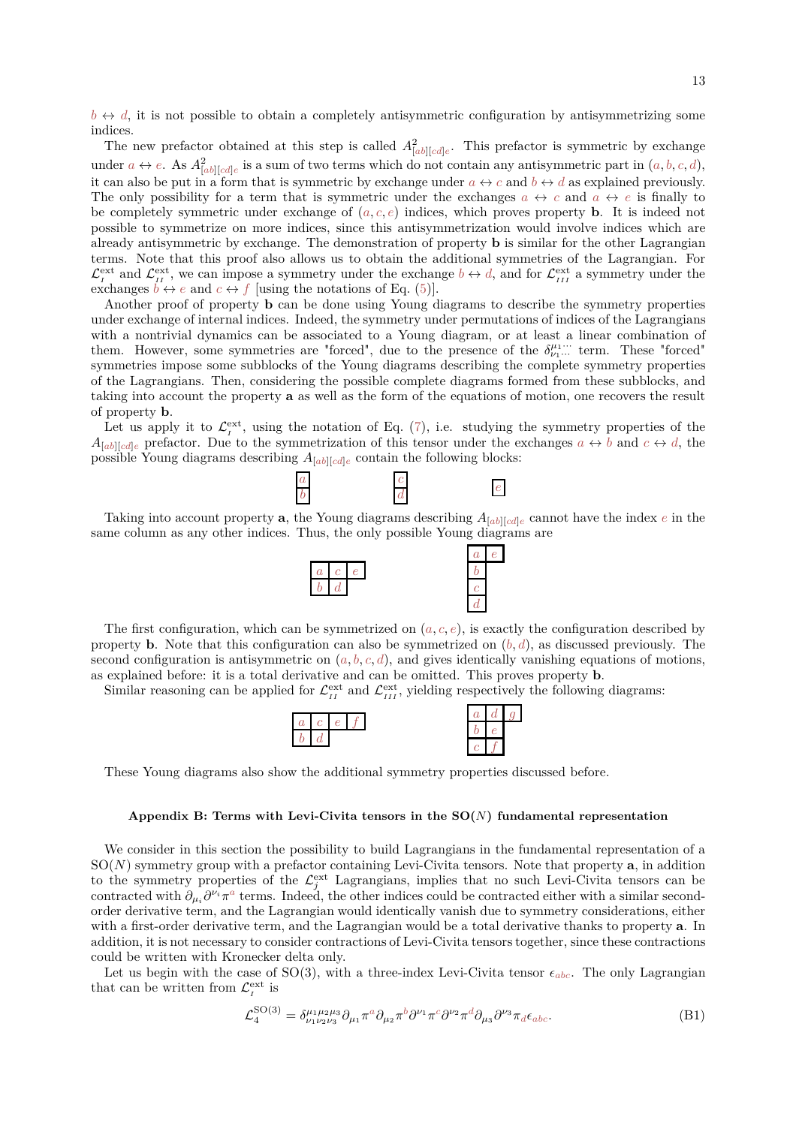$b \leftrightarrow d$ , it is not possible to obtain a completely antisymmetric configuration by antisymmetrizing some indices.

The new prefactor obtained at this step is called  $A_{[ab][cd]e}^2$ . This prefactor is symmetric by exchange under  $a \leftrightarrow e$ . As  $A^2_{[ab][cd]e}$  is a sum of two terms which do not contain any antisymmetric part in  $(a, b, c, d)$ , it can also be put in a form that is symmetric by exchange under  $a \leftrightarrow c$  and  $b \leftrightarrow d$  as explained previously. The only possibility for a term that is symmetric under the exchanges  $a \leftrightarrow c$  and  $a \leftrightarrow e$  is finally to be completely symmetric under exchange of  $(a, c, e)$  indices, which proves property **b**. It is indeed not possible to symmetrize on more indices, since this antisymmetrization would involve indices which are already antisymmetric by exchange. The demonstration of property **b** is similar for the other Lagrangian terms. Note that this proof also allows us to obtain the additional symmetries of the Lagrangian. For  $\mathcal{L}^{\text{ext}}_{I}$  and  $\mathcal{L}^{\text{ext}}_{II}$ , we can impose a symmetry under the exchange  $b \leftrightarrow d$ , and for  $\mathcal{L}^{\text{ext}}_{II}$  a symmetry under the exchanges  $b \leftrightarrow e$  and  $c \leftrightarrow f$  [using the notations of Eq. [\(5\)](#page-2-0)].

Another proof of property **b** can be done using Young diagrams to describe the symmetry properties under exchange of internal indices. Indeed, the symmetry under permutations of indices of the Lagrangians with a nontrivial dynamics can be associated to a Young diagram, or at least a linear combination of them. However, some symmetries are "forced", due to the presence of the  $\delta^{\mu_1 \cdots}_{\nu_1 \cdots}$  term. These "forced" symmetries impose some subblocks of the Young diagrams describing the complete symmetry properties of the Lagrangians. Then, considering the possible complete diagrams formed from these subblocks, and taking into account the property **a** as well as the form of the equations of motion, one recovers the result of property **b**.

Let us apply it to  $\mathcal{L}^{\text{ext}}_I$ , using the notation of Eq. [\(7\)](#page-3-0), i.e. studying the symmetry properties of the  $A_{[ab][cd]e}$  prefactor. Due to the symmetrization of this tensor under the exchanges  $a \leftrightarrow b$  and  $c \leftrightarrow d$ , the possible Young diagrams describing  $A_{[ab][cd]e}$  contain the following blocks:



Taking into account property **a**, the Young diagrams describing  $A_{[ab][cd]e}$  cannot have the index *e* in the same column as any other indices. Thus, the only possible Young diagrams are



The first configuration, which can be symmetrized on  $(a, c, e)$ , is exactly the configuration described by property **b**. Note that this configuration can also be symmetrized on  $(b, d)$ , as discussed previously. The second configuration is antisymmetric on  $(a, b, c, d)$ , and gives identically vanishing equations of motions, as explained before: it is a total derivative and can be omitted. This proves property **b**.

Similar reasoning can be applied for  $\mathcal{L}_{II}^{\text{ext}}$  and  $\mathcal{L}_{III}^{\text{ext}}$ , yielding respectively the following diagrams:



These Young diagrams also show the additional symmetry properties discussed before.

## <span id="page-12-0"></span>**Appendix B: Terms with Levi-Civita tensors in the SO(***N***) fundamental representation**

We consider in this section the possibility to build Lagrangians in the fundamental representation of a SO(*N*) symmetry group with a prefactor containing Levi-Civita tensors. Note that property **a**, in addition to the symmetry properties of the  $\mathcal{L}^{\text{ext}}_j$  Lagrangians, implies that no such Levi-Civita tensors can be contracted with  $\partial_{\mu_i} \partial^{\nu_i} \pi^a$  terms. Indeed, the other indices could be contracted either with a similar secondorder derivative term, and the Lagrangian would identically vanish due to symmetry considerations, either with a first-order derivative term, and the Lagrangian would be a total derivative thanks to property **a**. In addition, it is not necessary to consider contractions of Levi-Civita tensors together, since these contractions could be written with Kronecker delta only.

Let us begin with the case of  $SO(3)$ , with a three-index Levi-Civita tensor  $\epsilon_{abc}$ . The only Lagrangian that can be written from  $\mathcal{L}^{\text{ext}}_{I}$  is

$$
\mathcal{L}_4^{\text{SO}(3)} = \delta^{\mu_1 \mu_2 \mu_3}_{\nu_1 \nu_2 \nu_3} \partial_{\mu_1} \pi^a \partial_{\mu_2} \pi^b \partial^{\nu_1} \pi^c \partial^{\nu_2} \pi^d \partial_{\mu_3} \partial^{\nu_3} \pi_d \epsilon_{abc}.
$$
 (B1)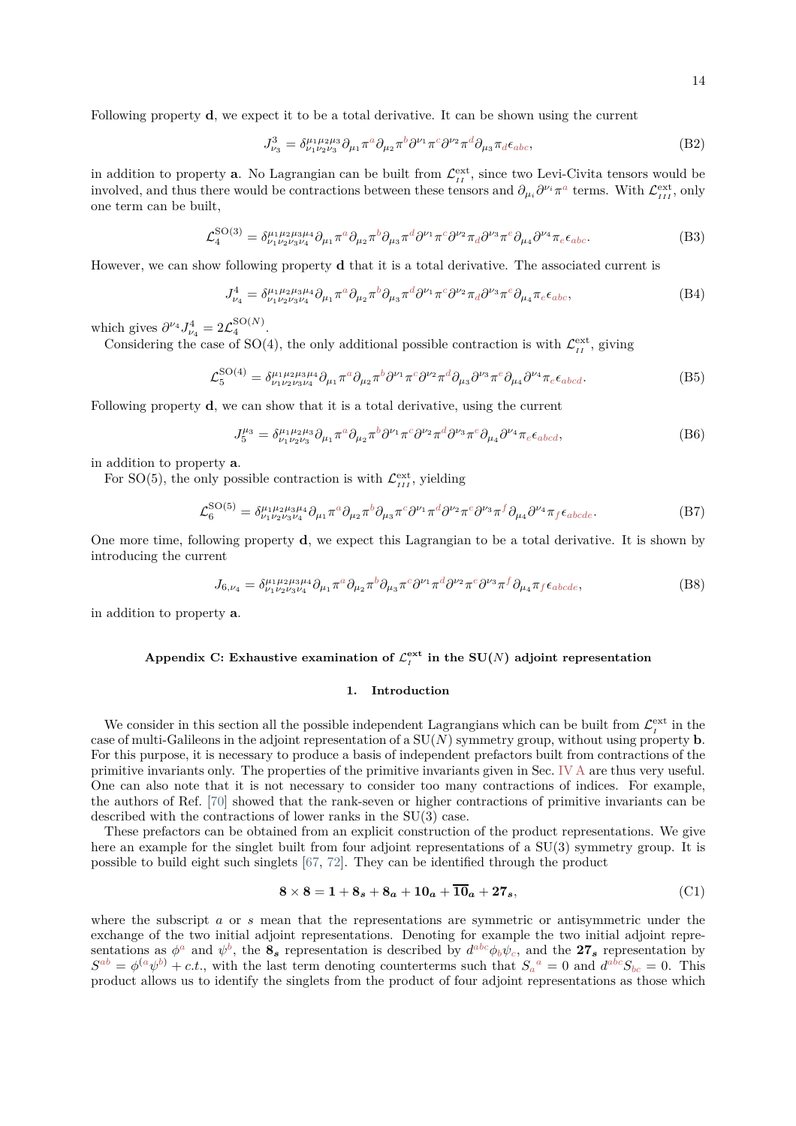Following property **d**, we expect it to be a total derivative. It can be shown using the current

$$
J_{\nu_3}^3 = \delta^{\mu_1 \mu_2 \mu_3}_{\nu_1 \nu_2 \nu_3} \partial_{\mu_1} \pi^a \partial_{\mu_2} \pi^b \partial^{\nu_1} \pi^c \partial^{\nu_2} \pi^d \partial_{\mu_3} \pi_d \epsilon_{abc}, \tag{B2}
$$

in addition to property **a**. No Lagrangian can be built from  $\mathcal{L}_{II}^{\text{ext}}$ , since two Levi-Civita tensors would be involved, and thus there would be contractions between these tensors and  $\partial_{\mu_i} \partial^{\nu_i} \pi^a$  terms. With  $\mathcal{L}^{\text{ext}}_{III}$ , only one term can be built,

$$
\mathcal{L}_4^{\text{SO}(3)} = \delta^{\mu_1 \mu_2 \mu_3 \mu_4}_{\nu_1 \nu_2 \nu_3 \nu_4} \partial_{\mu_1} \pi^a \partial_{\mu_2} \pi^b \partial_{\mu_3} \pi^d \partial^{\nu_1} \pi^c \partial^{\nu_2} \pi_d \partial^{\nu_3} \pi^e \partial_{\mu_4} \partial^{\nu_4} \pi_e \epsilon_{abc}.
$$
 (B3)

However, we can show following property **d** that it is a total derivative. The associated current is

$$
J_{\nu_4}^4 = \delta^{\mu_1 \mu_2 \mu_3 \mu_4}_{\nu_1 \nu_2 \nu_3 \nu_4} \partial_{\mu_1} \pi^a \partial_{\mu_2} \pi^b \partial_{\mu_3} \pi^d \partial^{\nu_1} \pi^c \partial^{\nu_2} \pi_d \partial^{\nu_3} \pi^e \partial_{\mu_4} \pi_e \epsilon_{abc}, \tag{B4}
$$

which gives  $\partial^{\nu_4} J_{\nu_4}^4 = 2 \mathcal{L}_4^{\text{SO}(N)}$ .

Considering the case of SO(4), the only additional possible contraction is with  $\mathcal{L}_{II}^{\text{ext}}$ , giving

$$
\mathcal{L}_5^{\text{SO}(4)} = \delta^{\mu_1 \mu_2 \mu_3 \mu_4}_{\nu_1 \nu_2 \nu_3 \nu_4} \partial_{\mu_1} \pi^a \partial_{\mu_2} \pi^b \partial^{\nu_1} \pi^c \partial^{\nu_2} \pi^d \partial_{\mu_3} \partial^{\nu_3} \pi^e \partial_{\mu_4} \partial^{\nu_4} \pi_e \epsilon_{abcd}.
$$
 (B5)

Following property **d**, we can show that it is a total derivative, using the current

$$
J_5^{\mu_3} = \delta_{\nu_1 \nu_2 \nu_3}^{\mu_1 \mu_2 \mu_3} \partial_{\mu_1} \pi^a \partial_{\mu_2} \pi^b \partial^{\nu_1} \pi^c \partial^{\nu_2} \pi^d \partial^{\nu_3} \pi^e \partial_{\mu_4} \partial^{\nu_4} \pi_e \epsilon_{abcd}, \tag{B6}
$$

in addition to property **a**.

For SO(5), the only possible contraction is with  $\mathcal{L}^{\text{ext}}_{III}$ , yielding

$$
\mathcal{L}_6^{\text{SO}(5)} = \delta^{\mu_1 \mu_2 \mu_3 \mu_4}_{\nu_1 \nu_2 \nu_3 \nu_4} \partial_{\mu_1} \pi^a \partial_{\mu_2} \pi^b \partial_{\mu_3} \pi^c \partial^{\nu_1} \pi^d \partial^{\nu_2} \pi^e \partial^{\nu_3} \pi^f \partial_{\mu_4} \partial^{\nu_4} \pi_f \epsilon_{abcde}.
$$
 (B7)

One more time, following property **d**, we expect this Lagrangian to be a total derivative. It is shown by introducing the current

$$
J_{6,\nu_4} = \delta^{\mu_1 \mu_2 \mu_3 \mu_4}_{\nu_1 \nu_2 \nu_3 \nu_4} \partial_{\mu_1} \pi^a \partial_{\mu_2} \pi^b \partial_{\mu_3} \pi^c \partial^{\nu_1} \pi^d \partial^{\nu_2} \pi^e \partial^{\nu_3} \pi^f \partial_{\mu_4} \pi_f \epsilon_{abcde}, \tag{B8}
$$

in addition to property **a**.

# <span id="page-13-0"></span>Appendix C: Exhaustive examination of  $\mathcal{L}^{\text{ext}}_{I}$  in the SU(*N*) adjoint representation

## **1. Introduction**

We consider in this section all the possible independent Lagrangians which can be built from  $\mathcal{L}^{\text{ext}}_I$  in the case of multi-Galileons in the adjoint representation of a SU(*N*) symmetry group, without using property **b**. For this purpose, it is necessary to produce a basis of independent prefactors built from contractions of the primitive invariants only. The properties of the primitive invariants given in Sec. [IV A](#page-8-2) are thus very useful. One can also note that it is not necessary to consider too many contractions of indices. For example, the authors of Ref. [\[70\]](#page-17-16) showed that the rank-seven or higher contractions of primitive invariants can be described with the contractions of lower ranks in the SU(3) case.

These prefactors can be obtained from an explicit construction of the product representations. We give here an example for the singlet built from four adjoint representations of a  $SU(3)$  symmetry group. It is possible to build eight such singlets [\[67,](#page-17-14) [72\]](#page-17-18). They can be identified through the product

$$
8 \times 8 = 1 + 8_s + 8_a + 10_a + \overline{10}_a + 27_s, \tag{C1}
$$

where the subscript *a* or *s* mean that the representations are symmetric or antisymmetric under the exchange of the two initial adjoint representations. Denoting for example the two initial adjoint representations as  $\phi^a$  and  $\psi^b$ , the  $\mathbf{8}_s$  representation is described by  $d^{abc}\phi_b\psi_c$ , and the  $27_s$  representation by  $S^{ab} = \phi^{(a}\psi^{b)} + c.t.$ , with the last term denoting counterterms such that  $S_a{}^a = 0$  and  $d^{abc}S_{bc} = 0$ . This product allows us to identify the singlets from the product of four adjoint representations as those which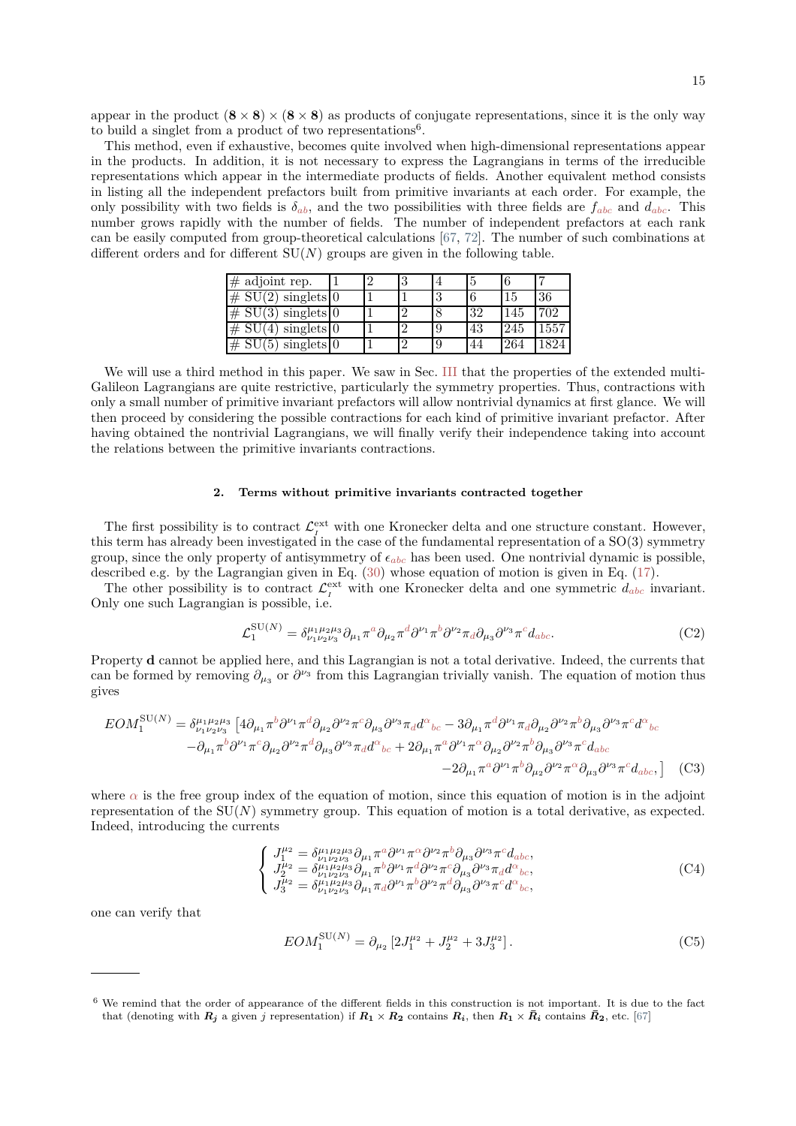appear in the product  $(8 \times 8) \times (8 \times 8)$  as products of conjugate representations, since it is the only way to build a singlet from a product of two representations<sup>6</sup>.

This method, even if exhaustive, becomes quite involved when high-dimensional representations appear in the products. In addition, it is not necessary to express the Lagrangians in terms of the irreducible representations which appear in the intermediate products of fields. Another equivalent method consists in listing all the independent prefactors built from primitive invariants at each order. For example, the only possibility with two fields is  $\delta_{ab}$ , and the two possibilities with three fields are  $f_{abc}$  and  $d_{abc}$ . This number grows rapidly with the number of fields. The number of independent prefactors at each rank can be easily computed from group-theoretical calculations [\[67](#page-17-14), [72](#page-17-18)]. The number of such combinations at different orders and for different  $SU(N)$  groups are given in the following table.

| $#$ adjoint rep.                                    |  | đ        |   |    | 6   |      |
|-----------------------------------------------------|--|----------|---|----|-----|------|
| #<br>$\mathrm{SU}(2)$<br>singlets $\vert 0 \rangle$ |  |          | U |    |     | 36   |
| $# \cdot$<br>SU(3)<br>singlets $\vert 0 \rangle$    |  | $\Omega$ |   | 32 | 145 | 702  |
| #<br>singlets $\vert 0 \rangle$                     |  |          |   | 43 | 245 | 1557 |
| $\overline{\#}$<br>$singlets$ 0                     |  | $\Omega$ |   | 44 | 264 | 189A |

We will use a third method in this paper. We saw in Sec. [III](#page-5-0) that the properties of the extended multi-Galileon Lagrangians are quite restrictive, particularly the symmetry properties. Thus, contractions with only a small number of primitive invariant prefactors will allow nontrivial dynamics at first glance. We will then proceed by considering the possible contractions for each kind of primitive invariant prefactor. After having obtained the nontrivial Lagrangians, we will finally verify their independence taking into account the relations between the primitive invariants contractions.

## **2. Terms without primitive invariants contracted together**

The first possibility is to contract  $\mathcal{L}^{\text{ext}}_{I}$  with one Kronecker delta and one structure constant. However, this term has already been investigated in the case of the fundamental representation of a SO(3) symmetry group, since the only property of antisymmetry of  $\epsilon_{abc}$  has been used. One nontrivial dynamic is possible, described e.g. by the Lagrangian given in Eq.  $(30)$  whose equation of motion is given in Eq.  $(17)$ .

The other possibility is to contract  $\mathcal{L}^{\text{ext}}_{I}$  with one Kronecker delta and one symmetric  $d_{abc}$  invariant. Only one such Lagrangian is possible, i.e.

$$
\mathcal{L}_1^{\text{SU}(N)} = \delta^{\mu_1 \mu_2 \mu_3}_{\nu_1 \nu_2 \nu_3} \partial_{\mu_1} \pi^a \partial_{\mu_2} \pi^d \partial^{\nu_1} \pi^b \partial^{\nu_2} \pi_d \partial_{\mu_3} \partial^{\nu_3} \pi^c d_{abc}.
$$
 (C2)

Property **d** cannot be applied here, and this Lagrangian is not a total derivative. Indeed, the currents that can be formed by removing  $\partial_{\mu_3}$  or  $\partial^{\nu_3}$  from this Lagrangian trivially vanish. The equation of motion thus gives

$$
EOM_1^{\text{SU}(N)} = \delta^{\mu_1 \mu_2 \mu_3}_{\nu_1 \nu_2 \nu_3} \left[ 4 \partial_{\mu_1} \pi^b \partial^{\nu_1} \pi^d \partial_{\mu_2} \partial^{\nu_2} \pi^c \partial_{\mu_3} \partial^{\nu_3} \pi_d d^{\alpha}_{bc} - 3 \partial_{\mu_1} \pi^d \partial^{\nu_1} \pi_d \partial_{\mu_2} \partial^{\nu_2} \pi^b \partial_{\mu_3} \partial^{\nu_3} \pi^c d^{\alpha}_{bc} - \partial_{\mu_1} \pi^b \partial^{\nu_1} \pi^c \partial_{\mu_2} \partial^{\nu_2} \pi^d \partial_{\mu_3} \partial^{\nu_3} \pi_d d^{\alpha}_{bc} + 2 \partial_{\mu_1} \pi^a \partial^{\nu_1} \pi^a \partial_{\mu_2} \partial^{\nu_2} \pi^b \partial_{\mu_3} \partial^{\nu_3} \pi^c d_{abc} - 2 \partial_{\mu_1} \pi^a \partial^{\nu_1} \pi^b \partial_{\mu_2} \partial^{\nu_2} \pi^c \partial_{\mu_3} \partial^{\nu_3} \pi^c d_{abc}, \right] \tag{C3}
$$

where  $\alpha$  is the free group index of the equation of motion, since this equation of motion is in the adjoint representation of the SU(*N*) symmetry group. This equation of motion is a total derivative, as expected. Indeed, introducing the currents

<span id="page-14-0"></span>
$$
\begin{cases}\nJ_1^{\mu_2} = \delta_{\nu_1 \nu_2 \nu_3}^{\mu_1 \mu_2 \mu_3} \partial_{\mu_1} \pi^a \partial^{\nu_1} \pi^{\alpha} \partial^{\nu_2} \pi^b \partial_{\mu_3} \partial^{\nu_3} \pi^c d_{abc}, \nJ_2^{\mu_2} = \delta_{\nu_1 \nu_2 \nu_3}^{\mu_1 \mu_2 \mu_3} \partial_{\mu_1} \pi^b \partial^{\nu_1} \pi^d \partial^{\nu_2} \pi^c \partial_{\mu_3} \partial^{\nu_3} \pi_d d^{\alpha}{}_{bc}, \nJ_3^{\mu_2} = \delta_{\nu_1 \nu_2 \nu_3}^{\mu_1 \mu_2 \mu_3} \partial_{\mu_1} \pi_d \partial^{\nu_1} \pi^b \partial^{\nu_2} \pi^d \partial_{\mu_3} \partial^{\nu_3} \pi^c d^{\alpha}{}_{bc},\n\end{cases} (C4)
$$

one can verify that

$$
EOM_1^{\text{SU}(N)} = \partial_{\mu_2} \left[ 2J_1^{\mu_2} + J_2^{\mu_2} + 3J_3^{\mu_2} \right]. \tag{C5}
$$

 $6\,$  We remind that the order of appearance of the different fields in this construction is not important. It is due to the fact that (denoting with  $R_i$  a given j representation) if  $R_1 \times R_2$  contains  $R_i$ , then  $R_1 \times \overline{R}_i$  contains  $\overline{R}_2$ , etc. [\[67](#page-17-14)]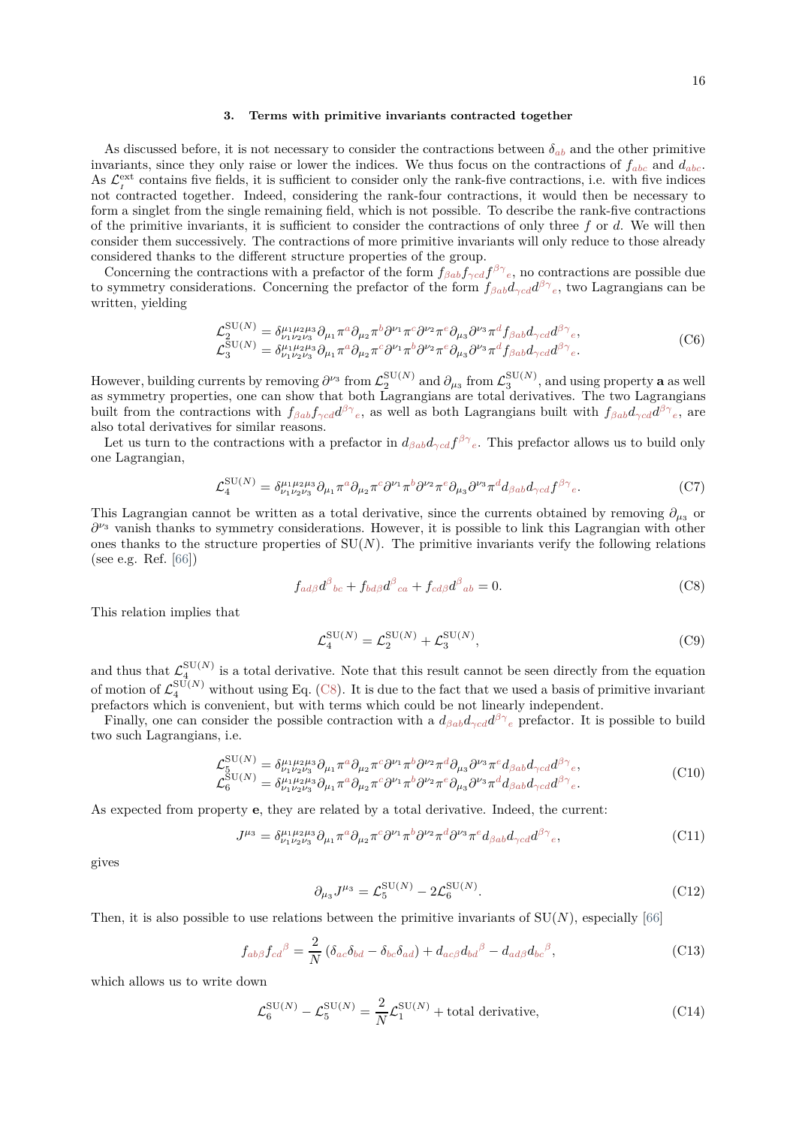#### **3. Terms with primitive invariants contracted together**

As discussed before, it is not necessary to consider the contractions between  $\delta_{ab}$  and the other primitive invariants, since they only raise or lower the indices. We thus focus on the contractions of *fabc* and *dabc*. As  $\mathcal{L}^{\text{ext}}_I$  contains five fields, it is sufficient to consider only the rank-five contractions, i.e. with five indices not contracted together. Indeed, considering the rank-four contractions, it would then be necessary to form a singlet from the single remaining field, which is not possible. To describe the rank-five contractions of the primitive invariants, it is sufficient to consider the contractions of only three *f* or *d*. We will then consider them successively. The contractions of more primitive invariants will only reduce to those already considered thanks to the different structure properties of the group.

Concerning the contractions with a prefactor of the form  $f_{\beta ab} f_{\gamma cd} f^{\beta \gamma}{}_{e}$ , no contractions are possible due to symmetry considerations. Concerning the prefactor of the form  $f_{\beta ab}d_{\gamma cd}d^{\beta\gamma}{}_{e}$ , two Lagrangians can be written, yielding

$$
\mathcal{L}_{2}^{\text{SU}(N)} = \delta_{\nu_{1}\nu_{2}\nu_{3}}^{\mu_{1}\mu_{2}\mu_{3}} \partial_{\mu_{1}} \pi^{a} \partial_{\mu_{2}} \pi^{b} \partial^{\nu_{1}} \pi^{c} \partial^{\nu_{2}} \pi^{e} \partial_{\mu_{3}} \partial^{\nu_{3}} \pi^{d} f_{\beta ab} d_{\gamma cd} d^{\beta \gamma}{}_{e}, \n\mathcal{L}_{3}^{\text{SU}(N)} = \delta_{\mu_{1}\mu_{2}\mu_{3}}^{\mu_{1}\mu_{2}\mu_{3}} \partial_{\mu_{1}} \pi^{a} \partial_{\mu_{2}} \pi^{c} \partial^{\nu_{1}} \pi^{b} \partial^{\nu_{2}} \pi^{e} \partial_{\mu_{3}} \partial^{\nu_{3}} \pi^{d} f_{\beta ab} d_{\gamma cd} d^{\beta \gamma}{}_{e}. \n\tag{C6}
$$

However, building currents by removing  $\partial^{\nu_3}$  from  $\mathcal{L}_2^{\text{SU}(N)}$  and  $\partial_{\mu_3}$  from  $\mathcal{L}_3^{\text{SU}(N)}$ , and using property  $\bf{a}$  as well as symmetry properties, one can show that both Lagrangians are total derivatives. The two Lagrangians built from the contractions with  $f_{\beta ab} f_{\gamma cd} d^{\beta \gamma}{}_{e}$ , as well as both Lagrangians built with  $f_{\beta ab} d_{\gamma cd} d^{\beta \gamma}{}_{e}$ , are also total derivatives for similar reasons.

Let us turn to the contractions with a prefactor in  $d_{\beta ab}d_{\gamma cd}f^{\beta\gamma}$ <sub>e</sub>. This prefactor allows us to build only one Lagrangian,

$$
\mathcal{L}_4^{\text{SU}(N)} = \delta^{\mu_1 \mu_2 \mu_3}_{\nu_1 \nu_2 \nu_3} \partial_{\mu_1} \pi^a \partial_{\mu_2} \pi^c \partial^{\nu_1} \pi^b \partial^{\nu_2} \pi^e \partial_{\mu_3} \partial^{\nu_3} \pi^d d_{\beta ab} d_{\gamma cd} f^{\beta \gamma}{}_e. \tag{C7}
$$

This Lagrangian cannot be written as a total derivative, since the currents obtained by removing  $\partial_{\mu_3}$  or *∂ <sup>ν</sup>*<sup>3</sup> vanish thanks to symmetry considerations. However, it is possible to link this Lagrangian with other ones thanks to the structure properties of  $SU(N)$ . The primitive invariants verify the following relations (see e.g. Ref. [\[66](#page-17-12)])

<span id="page-15-0"></span>
$$
f_{ad\beta}d^{\beta}{}_{bc} + f_{bd\beta}d^{\beta}{}_{ca} + f_{cd\beta}d^{\beta}{}_{ab} = 0.
$$
 (C8)

This relation implies that

$$
\mathcal{L}_4^{\text{SU}(N)} = \mathcal{L}_2^{\text{SU}(N)} + \mathcal{L}_3^{\text{SU}(N)},\tag{C9}
$$

and thus that  $\mathcal{L}_4^{\text{SU}(N)}$  is a total derivative. Note that this result cannot be seen directly from the equation of motion of  $\mathcal{L}_4^{\text{SU}(N)}$  without using Eq. [\(C8\)](#page-15-0). It is due to the fact that we used a basis of primitive invariant prefactors which is convenient, but with terms which could be not linearly independent.

Finally, one can consider the possible contraction with a  $d_{\beta ab}d_{\gamma cd}d^{\beta\gamma}{}_{e}$  prefactor. It is possible to build two such Lagrangians, i.e.

$$
\mathcal{L}_{5}^{\text{SU}(N)} = \delta_{\nu_1 \nu_2 \nu_3}^{\mu_1 \mu_2 \mu_3} \partial_{\mu_1} \pi^a \partial_{\mu_2} \pi^c \partial^{\nu_1} \pi^b \partial^{\nu_2} \pi^d \partial_{\mu_3} \partial^{\nu_3} \pi^e d_{\beta ab} d_{\gamma cd} d^{\beta \gamma}{}_e, \n\mathcal{L}_{6}^{\text{SU}(N)} = \delta_{\nu_1 \nu_2 \nu_3}^{\mu_1 \mu_2 \mu_3} \partial_{\mu_1} \pi^a \partial_{\mu_2} \pi^c \partial^{\nu_1} \pi^b \partial^{\nu_2} \pi^e \partial_{\mu_3} \partial^{\nu_3} \pi^d d_{\beta ab} d_{\gamma cd} d^{\beta \gamma}{}_e.
$$
\n
$$
(C10)
$$

As expected from property **e**, they are related by a total derivative. Indeed, the current:

$$
J^{\mu_3} = \delta^{\mu_1 \mu_2 \mu_3}_{\nu_1 \nu_2 \nu_3} \partial_{\mu_1} \pi^a \partial_{\mu_2} \pi^c \partial^{\nu_1} \pi^b \partial^{\nu_2} \pi^d \partial^{\nu_3} \pi^e d_{\beta ab} d_{\gamma cd} d^{\beta \gamma}{}_e,\tag{C11}
$$

gives

$$
\partial_{\mu_3} J^{\mu_3} = \mathcal{L}_5^{\text{SU}(N)} - 2 \mathcal{L}_6^{\text{SU}(N)}.
$$
 (C12)

Then, it is also possible to use relations between the primitive invariants of  $SU(N)$ , especially [\[66](#page-17-12)]

$$
f_{ab\beta}f_{cd}{}^{\beta} = \frac{2}{N} \left( \delta_{ac} \delta_{bd} - \delta_{bc} \delta_{ad} \right) + d_{ac\beta} d_{bd}{}^{\beta} - d_{ad\beta} d_{bc}{}^{\beta}, \tag{C13}
$$

which allows us to write down

$$
\mathcal{L}_6^{\text{SU}(N)} - \mathcal{L}_5^{\text{SU}(N)} = \frac{2}{N} \mathcal{L}_1^{\text{SU}(N)} + \text{total derivative},\tag{C14}
$$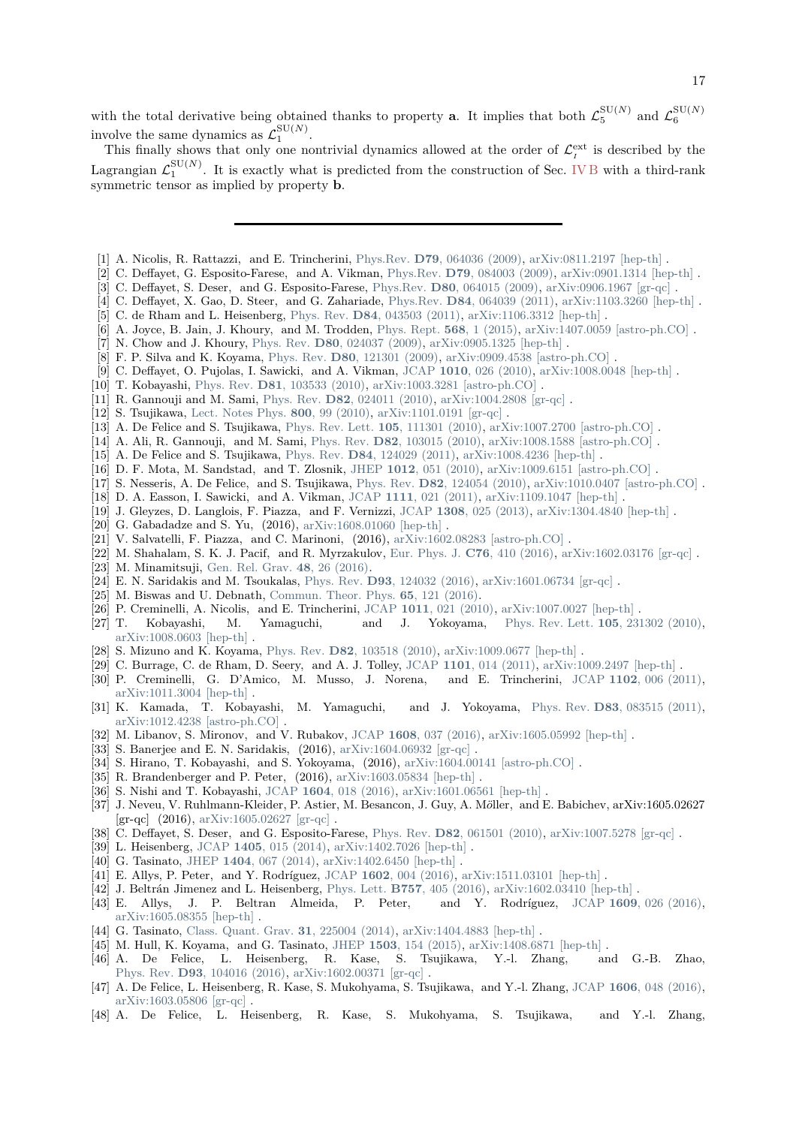with the total derivative being obtained thanks to property **a**. It implies that both  $\mathcal{L}_5^{\text{SU}(N)}$  and  $\mathcal{L}_6^{\text{SU}(N)}$ involve the same dynamics as  $\mathcal{L}_1^{\text{SU}(N)}$ .

This finally shows that only one nontrivial dynamics allowed at the order of  $\mathcal{L}^{\text{ext}}_{I}$  is described by the Lagrangian  $\mathcal{L}_1^{\text{SU}(N)}$ . It is exactly what is predicted from the construction of Sec. [IV B](#page-8-1) with a third-rank symmetric tensor as implied by property **b**.

- <span id="page-16-0"></span>[1] A. Nicolis, R. Rattazzi, and E. Trincherini, Phys.Rev. **D79**[, 064036 \(2009\),](http://dx.doi.org/10.1103/PhysRevD.79.064036) [arXiv:0811.2197 \[hep-th\]](http://arxiv.org/abs/0811.2197) .
- [2] C. Deffayet, G. Esposito-Farese, and A. Vikman, Phys.Rev. **D79**[, 084003 \(2009\),](http://dx.doi.org/10.1103/PhysRevD.79.084003) [arXiv:0901.1314 \[hep-th\]](http://arxiv.org/abs/0901.1314) .
- [3] C. Deffayet, S. Deser, and G. Esposito-Farese, Phys.Rev. **D80**[, 064015 \(2009\),](http://dx.doi.org/10.1103/PhysRevD.80.064015) [arXiv:0906.1967 \[gr-qc\]](http://arxiv.org/abs/0906.1967) .
- <span id="page-16-2"></span>[4] C. Deffayet, X. Gao, D. Steer, and G. Zahariade, Phys.Rev. **D84**[, 064039 \(2011\),](http://dx.doi.org/ 10.1103/PhysRevD.84.064039) [arXiv:1103.3260 \[hep-th\]](http://arxiv.org/abs/1103.3260) .
- <span id="page-16-12"></span>[5] C. de Rham and L. Heisenberg, Phys. Rev. **D84**[, 043503 \(2011\),](http://dx.doi.org/10.1103/PhysRevD.84.043503) [arXiv:1106.3312 \[hep-th\]](http://arxiv.org/abs/1106.3312) .
- <span id="page-16-1"></span>[6] A. Joyce, B. Jain, J. Khoury, and M. Trodden, [Phys. Rept.](http://dx.doi.org/ 10.1016/j.physrep.2014.12.002) **568**, 1 (2015), [arXiv:1407.0059 \[astro-ph.CO\]](http://arxiv.org/abs/1407.0059) .
- <span id="page-16-3"></span>[7] N. Chow and J. Khoury, Phys. Rev. **D80**[, 024037 \(2009\),](http://dx.doi.org/10.1103/PhysRevD.80.024037) [arXiv:0905.1325 \[hep-th\]](http://arxiv.org/abs/0905.1325) .
- [8] F. P. Silva and K. Koyama, Phys. Rev. **D80**[, 121301 \(2009\),](http://dx.doi.org/10.1103/PhysRevD.80.121301) [arXiv:0909.4538 \[astro-ph.CO\]](http://arxiv.org/abs/0909.4538) .
- [9] C. Deffayet, O. Pujolas, I. Sawicki, and A. Vikman, JCAP **1010**[, 026 \(2010\),](http://dx.doi.org/10.1088/1475-7516/2010/10/026) [arXiv:1008.0048 \[hep-th\]](http://arxiv.org/abs/1008.0048) .
- [10] T. Kobayashi, Phys. Rev. **D81**[, 103533 \(2010\),](http://dx.doi.org/10.1103/PhysRevD.81.103533) [arXiv:1003.3281 \[astro-ph.CO\]](http://arxiv.org/abs/1003.3281) .
- [11] R. Gannouji and M. Sami, Phys. Rev. **D82**[, 024011 \(2010\),](http://dx.doi.org/10.1103/PhysRevD.82.024011) [arXiv:1004.2808 \[gr-qc\]](http://arxiv.org/abs/1004.2808) .
- [12] S. Tsujikawa, [Lect. Notes Phys.](http://dx.doi.org/10.1007/978-3-642-10598-2_3) **800**, 99 (2010), [arXiv:1101.0191 \[gr-qc\]](http://arxiv.org/abs/1101.0191) .
- [13] A. De Felice and S. Tsujikawa, [Phys. Rev. Lett.](http://dx.doi.org/10.1103/PhysRevLett.105.111301) **105**, 111301 (2010), [arXiv:1007.2700 \[astro-ph.CO\]](http://arxiv.org/abs/1007.2700) .
- [14] A. Ali, R. Gannouji, and M. Sami, Phys. Rev. **D82**[, 103015 \(2010\),](http://dx.doi.org/10.1103/PhysRevD.82.103015) [arXiv:1008.1588 \[astro-ph.CO\]](http://arxiv.org/abs/1008.1588) .
- [15] A. De Felice and S. Tsujikawa, Phys. Rev. **D84**[, 124029 \(2011\),](http://dx.doi.org/10.1103/PhysRevD.84.124029) [arXiv:1008.4236 \[hep-th\]](http://arxiv.org/abs/1008.4236) .
- [16] D. F. Mota, M. Sandstad, and T. Zlosnik, JHEP **1012**[, 051 \(2010\),](http://dx.doi.org/10.1007/JHEP12(2010)051) [arXiv:1009.6151 \[astro-ph.CO\]](http://arxiv.org/abs/1009.6151) .
- [17] S. Nesseris, A. De Felice, and S. Tsujikawa, Phys. Rev. **D82**[, 124054 \(2010\),](http://dx.doi.org/10.1103/PhysRevD.82.124054) [arXiv:1010.0407 \[astro-ph.CO\]](http://arxiv.org/abs/1010.0407) .
- [18] D. A. Easson, I. Sawicki, and A. Vikman, JCAP **1111**[, 021 \(2011\),](http://dx.doi.org/10.1088/1475-7516/2011/11/021) [arXiv:1109.1047 \[hep-th\]](http://arxiv.org/abs/1109.1047) .
- [19] J. Gleyzes, D. Langlois, F. Piazza, and F. Vernizzi, JCAP **1308**[, 025 \(2013\),](http://dx.doi.org/ 10.1088/1475-7516/2013/08/025) [arXiv:1304.4840 \[hep-th\]](http://arxiv.org/abs/1304.4840) .
- [20] G. Gabadadze and S. Yu, (2016), [arXiv:1608.01060 \[hep-th\]](http://arxiv.org/abs/1608.01060).
- [21] V. Salvatelli, F. Piazza, and C. Marinoni, (2016), [arXiv:1602.08283 \[astro-ph.CO\]](http://arxiv.org/abs/1602.08283) .
- [22] M. Shahalam, S. K. J. Pacif, and R. Myrzakulov, [Eur. Phys. J.](http://dx.doi.org/10.1140/epjc/s10052-016-4254-y) **C76**, 410 (2016), [arXiv:1602.03176 \[gr-qc\]](http://arxiv.org/abs/1602.03176) .
- [23] M. Minamitsuji, [Gen. Rel. Grav.](http://dx.doi.org/10.1007/s10714-016-2025-6) **48**, 26 (2016).
- [24] E. N. Saridakis and M. Tsoukalas, Phys. Rev. **D93**[, 124032 \(2016\),](http://dx.doi.org/10.1103/PhysRevD.93.124032) [arXiv:1601.06734 \[gr-qc\]](http://arxiv.org/abs/1601.06734) .
- <span id="page-16-4"></span>[25] M. Biswas and U. Debnath, [Commun. Theor. Phys.](http://dx.doi.org/10.1088/0253-6102/65/1/121) **65**, 121 (2016).
- <span id="page-16-5"></span>[26] P. Creminelli, A. Nicolis, and E. Trincherini, JCAP **1011**[, 021 \(2010\),](http://dx.doi.org/10.1088/1475-7516/2010/11/021) [arXiv:1007.0027 \[hep-th\]](http://arxiv.org/abs/1007.0027) .
- [27] T. Kobayashi, M. Yamaguchi, and J. Yokoyama, [Phys. Rev. Lett.](http://dx.doi.org/10.1103/PhysRevLett.105.231302) **105**, 231302 (2010), [arXiv:1008.0603 \[hep-th\]](http://arxiv.org/abs/1008.0603) .
- [28] S. Mizuno and K. Koyama, Phys. Rev. **D82**[, 103518 \(2010\),](http://dx.doi.org/10.1103/PhysRevD.82.103518) [arXiv:1009.0677 \[hep-th\]](http://arxiv.org/abs/1009.0677) .
- 
- [29] C. Burrage, C. de Rham, D. Seery, and A. J. Tolley, JCAP **1101**[, 014 \(2011\),](http://dx.doi.org/ 10.1088/1475-7516/2011/01/014) [arXiv:1009.2497 \[hep-th\]](http://arxiv.org/abs/1009.2497) . [30] P. Creminelli, G. D'Amico, M. Musso, J. Norena, [arXiv:1011.3004 \[hep-th\]](http://arxiv.org/abs/1011.3004) .
- [31] K. Kamada, T. Kobayashi, M. Yamaguchi, and J. Yokoyama, Phys. Rev. **D83**[, 083515 \(2011\),](http://dx.doi.org/10.1103/PhysRevD.83.083515) [arXiv:1012.4238 \[astro-ph.CO\]](http://arxiv.org/abs/1012.4238) .
- [32] M. Libanov, S. Mironov, and V. Rubakov, JCAP **1608**[, 037 \(2016\),](http://dx.doi.org/10.1088/1475-7516/2016/08/037) [arXiv:1605.05992 \[hep-th\]](http://arxiv.org/abs/1605.05992) .
- [33] S. Banerjee and E. N. Saridakis, (2016), [arXiv:1604.06932 \[gr-qc\]](http://arxiv.org/abs/1604.06932) .
- [34] S. Hirano, T. Kobayashi, and S. Yokoyama, (2016), [arXiv:1604.00141 \[astro-ph.CO\]](http://arxiv.org/abs/1604.00141) .
- [35] R. Brandenberger and P. Peter, (2016), [arXiv:1603.05834 \[hep-th\]](http://arxiv.org/abs/1603.05834).
- <span id="page-16-6"></span>[36] S. Nishi and T. Kobayashi, JCAP **1604**[, 018 \(2016\),](http://dx.doi.org/10.1088/1475-7516/2016/04/018) [arXiv:1601.06561 \[hep-th\]](http://arxiv.org/abs/1601.06561) .
- <span id="page-16-7"></span>[37] J. Neveu, V. Ruhlmann-Kleider, P. Astier, M. Besancon, J. Guy, A. Möller, and E. Babichev, arXiv:1605.02627 [gr-qc] (2016), [arXiv:1605.02627 \[gr-qc\]](http://arxiv.org/abs/1605.02627) .
- <span id="page-16-8"></span>[38] C. Deffayet, S. Deser, and G. Esposito-Farese, Phys. Rev. **D82**[, 061501 \(2010\),](http://dx.doi.org/10.1103/PhysRevD.82.061501) [arXiv:1007.5278 \[gr-qc\]](http://arxiv.org/abs/1007.5278) .
- <span id="page-16-13"></span>[39] L. Heisenberg, JCAP **1405**[, 015 \(2014\),](http://dx.doi.org/10.1088/1475-7516/2014/05/015) [arXiv:1402.7026 \[hep-th\]](http://arxiv.org/abs/1402.7026) .
- <span id="page-16-10"></span>[40] G. Tasinato, JHEP **1404**[, 067 \(2014\),](http://dx.doi.org/10.1007/JHEP04(2014)067) [arXiv:1402.6450 \[hep-th\]](http://arxiv.org/abs/1402.6450) .
- [41] E. Allys, P. Peter, and Y. Rodríguez, JCAP **1602**[, 004 \(2016\),](http://dx.doi.org/10.1088/1475-7516/2016/02/004) [arXiv:1511.03101 \[hep-th\]](http://arxiv.org/abs/1511.03101) .
- [42] J. Beltrán Jimenez and L. Heisenberg, Phys. Lett. **B757**[, 405 \(2016\),](http://dx.doi.org/10.1016/j.physletb.2016.04.017) [arXiv:1602.03410 \[hep-th\]](http://arxiv.org/abs/1602.03410) .
- <span id="page-16-9"></span>[43] E. Allys, J. P. Beltran Almeida, P. Peter, and Y. Rodríguez, JCAP **1609**[, 026 \(2016\),](http://dx.doi.org/10.1088/1475-7516/2016/09/026) [arXiv:1605.08355 \[hep-th\]](http://arxiv.org/abs/1605.08355) .
- <span id="page-16-11"></span>[44] G. Tasinato, [Class. Quant. Grav.](http://dx.doi.org/10.1088/0264-9381/31/22/225004) **31**, 225004 (2014), [arXiv:1404.4883 \[hep-th\]](http://arxiv.org/abs/1404.4883) .
- [45] M. Hull, K. Koyama, and G. Tasinato, JHEP **1503**[, 154 \(2015\),](http://dx.doi.org/10.1007/JHEP03(2015)154) [arXiv:1408.6871 \[hep-th\]](http://arxiv.org/abs/1408.6871) .
- [46] A. De Felice, L. Heisenberg, R. Kase, S. Tsujikawa, Y.-l. Zhang, and G.-B. Zhao, Phys. Rev. **D93**[, 104016 \(2016\),](http://dx.doi.org/ 10.1103/PhysRevD.93.104016) [arXiv:1602.00371 \[gr-qc\]](http://arxiv.org/abs/1602.00371) .
- [47] A. De Felice, L. Heisenberg, R. Kase, S. Mukohyama, S. Tsujikawa, and Y.-l. Zhang, JCAP **1606**[, 048 \(2016\),](http://dx.doi.org/ 10.1088/1475-7516/2016/06/048) [arXiv:1603.05806 \[gr-qc\]](http://arxiv.org/abs/1603.05806) .
- [48] A. De Felice, L. Heisenberg, R. Kase, S. Mukohyama, S. Tsujikawa, and Y.-l. Zhang,